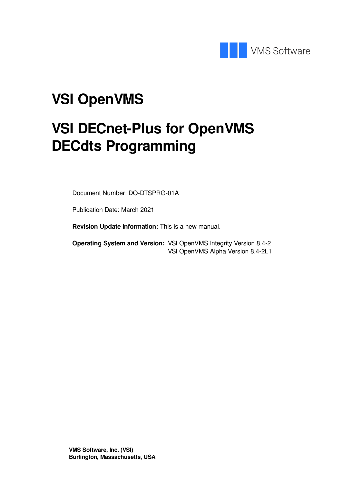

# **VSI OpenVMS**

# **VSI DECnet-Plus for OpenVMS DECdts Programming**

Document Number: DO-DTSPRG-01A

Publication Date: March 2021

**Revision Update Information:** This is a new manual.

**Operating System and Version:** VSI OpenVMS Integrity Version 8.4-2 VSI OpenVMS Alpha Version 8.4-2L1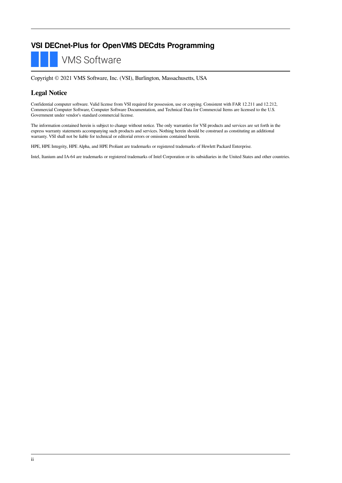## **VSI DECnet-Plus for OpenVMS DECdts Programming**

**VMS Software** 

Copyright © 2021 VMS Software, Inc. (VSI), Burlington, Massachusetts, USA

#### **Legal Notice**

Confidential computer software. Valid license from VSI required for possession, use or copying. Consistent with FAR 12.211 and 12.212, Commercial Computer Software, Computer Software Documentation, and Technical Data for Commercial Items are licensed to the U.S. Government under vendor's standard commercial license.

The information contained herein is subject to change without notice. The only warranties for VSI products and services are set forth in the express warranty statements accompanying such products and services. Nothing herein should be construed as constituting an additional warranty. VSI shall not be liable for technical or editorial errors or omissions contained herein.

HPE, HPE Integrity, HPE Alpha, and HPE Proliant are trademarks or registered trademarks of Hewlett Packard Enterprise.

Intel, Itanium and IA-64 are trademarks or registered trademarks of Intel Corporation or its subsidiaries in the United States and other countries.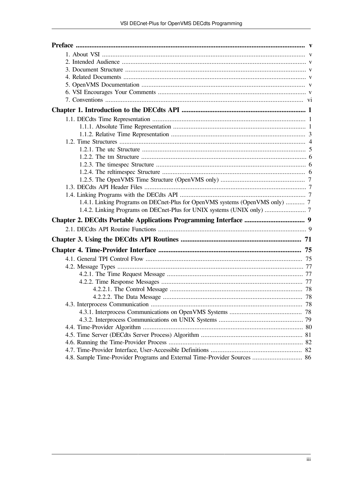| 1.4.1. Linking Programs on DECnet-Plus for OpenVMS systems (OpenVMS only)  7 |  |
|------------------------------------------------------------------------------|--|
|                                                                              |  |
|                                                                              |  |
|                                                                              |  |
|                                                                              |  |
|                                                                              |  |
|                                                                              |  |
|                                                                              |  |
|                                                                              |  |
|                                                                              |  |
|                                                                              |  |
|                                                                              |  |
|                                                                              |  |
|                                                                              |  |
|                                                                              |  |
|                                                                              |  |
|                                                                              |  |
|                                                                              |  |
|                                                                              |  |
|                                                                              |  |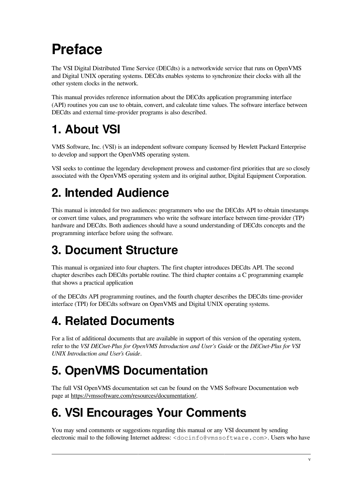# <span id="page-4-0"></span>**Preface**

The VSI Digital Distributed Time Service (DECdts) is a networkwide service that runs on OpenVMS and Digital UNIX operating systems. DECdts enables systems to synchronize their clocks with all the other system clocks in the network.

This manual provides reference information about the DECdts application programming interface (API) routines you can use to obtain, convert, and calculate time values. The software interface between DECdts and external time-provider programs is also described.

# <span id="page-4-1"></span>**1. About VSI**

VMS Software, Inc. (VSI) is an independent software company licensed by Hewlett Packard Enterprise to develop and support the OpenVMS operating system.

VSI seeks to continue the legendary development prowess and customer-first priorities that are so closely associated with the OpenVMS operating system and its original author, Digital Equipment Corporation.

# <span id="page-4-2"></span>**2. Intended Audience**

This manual is intended for two audiences: programmers who use the DECdts API to obtain timestamps or convert time values, and programmers who write the software interface between time-provider (TP) hardware and DECdts. Both audiences should have a sound understanding of DECdts concepts and the programming interface before using the software.

# <span id="page-4-3"></span>**3. Document Structure**

This manual is organized into four chapters. The first chapter introduces DECdts API. The second chapter describes each DECdts portable routine. The third chapter contains a C programming example that shows a practical application

of the DECdts API programming routines, and the fourth chapter describes the DECdts time-provider interface (TPI) for DECdts software on OpenVMS and Digital UNIX operating systems.

# <span id="page-4-4"></span>**4. Related Documents**

For a list of additional documents that are available in support of this version of the operating system, refer to the *VSI DECnet-Plus for OpenVMS Introduction and User's Guide* or the *DECnet-Plus for VSI UNIX Introduction and User's Guide*.

# <span id="page-4-5"></span>**5. OpenVMS Documentation**

The full VSI OpenVMS documentation set can be found on the VMS Software Documentation web page at https://vmssoftware.com/resources/documentation/.

# <span id="page-4-6"></span>**6. VSI Encourages Your Comments**

You may send comments or suggestions regarding this manual or any VSI document by sending electronic mail to the following Internet address: <docinfo@vmssoftware.com>. Users who have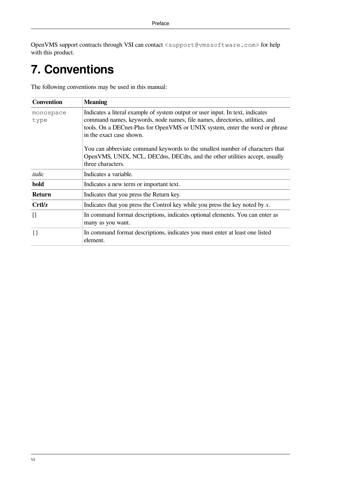OpenVMS support contracts through VSI can contact <support@vmssoftware.com> for help with this product.

# <span id="page-5-0"></span>**7. Conventions**

The following conventions may be used in this manual:

| <b>Convention</b> | <b>Meaning</b>                                                                                                                                                                                                                                                             |
|-------------------|----------------------------------------------------------------------------------------------------------------------------------------------------------------------------------------------------------------------------------------------------------------------------|
| monospace<br>type | Indicates a literal example of system output or user input. In text, indicates<br>command names, keywords, node names, file names, directories, utilities, and<br>tools. On a DECnet-Plus for OpenVMS or UNIX system, enter the word or phrase<br>in the exact case shown. |
|                   | You can abbreviate command keywords to the smallest number of characters that<br>OpenVMS, UNIX, NCL, DECdns, DECdts, and the other utilities accept, usually<br>three characters.                                                                                          |
| italic            | Indicates a variable.                                                                                                                                                                                                                                                      |
| bold              | Indicates a new term or important text.                                                                                                                                                                                                                                    |
| <b>Return</b>     | Indicates that you press the Return key.                                                                                                                                                                                                                                   |
| Crtl/x            | Indicates that you press the Control key while you press the key noted by $x$ .                                                                                                                                                                                            |
| $\Box$            | In command format descriptions, indicates optional elements. You can enter as<br>many as you want.                                                                                                                                                                         |
| $\{\}$            | In command format descriptions, indicates you must enter at least one listed<br>element.                                                                                                                                                                                   |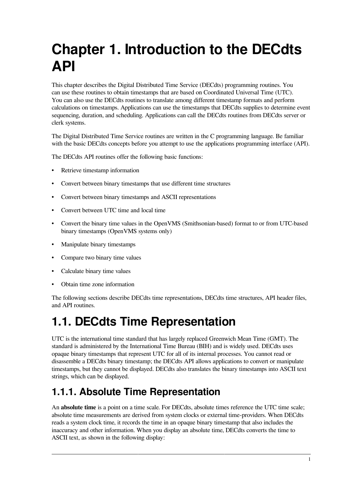# <span id="page-6-0"></span>**Chapter 1. Introduction to the DECdts API**

This chapter describes the Digital Distributed Time Service (DECdts) programming routines. You can use these routines to obtain timestamps that are based on Coordinated Universal Time (UTC). You can also use the DECdts routines to translate among different timestamp formats and perform calculations on timestamps. Applications can use the timestamps that DECdts supplies to determine event sequencing, duration, and scheduling. Applications can call the DECdts routines from DECdts server or clerk systems.

The Digital Distributed Time Service routines are written in the C programming language. Be familiar with the basic DECdts concepts before you attempt to use the applications programming interface (API).

The DECdts API routines offer the following basic functions:

- Retrieve timestamp information
- Convert between binary timestamps that use different time structures
- Convert between binary timestamps and ASCII representations
- Convert between UTC time and local time
- Convert the binary time values in the OpenVMS (Smithsonian-based) format to or from UTC-based binary timestamps (OpenVMS systems only)
- Manipulate binary timestamps
- Compare two binary time values
- Calculate binary time values
- Obtain time zone information

The following sections describe DECdts time representations, DECdts time structures, API header files, and API routines.

# <span id="page-6-1"></span>**1.1. DECdts Time Representation**

UTC is the international time standard that has largely replaced Greenwich Mean Time (GMT). The standard is administered by the International Time Bureau (BIH) and is widely used. DECdts uses opaque binary timestamps that represent UTC for all of its internal processes. You cannot read or disassemble a DECdts binary timestamp; the DECdts API allows applications to convert or manipulate timestamps, but they cannot be displayed. DECdts also translates the binary timestamps into ASCII text strings, which can be displayed.

# <span id="page-6-2"></span>**1.1.1. Absolute Time Representation**

An **absolute time** is a point on a time scale. For DECdts, absolute times reference the UTC time scale; absolute time measurements are derived from system clocks or external time-providers. When DECdts reads a system clock time, it records the time in an opaque binary timestamp that also includes the inaccuracy and other information. When you display an absolute time, DECdts converts the time to ASCII text, as shown in the following display: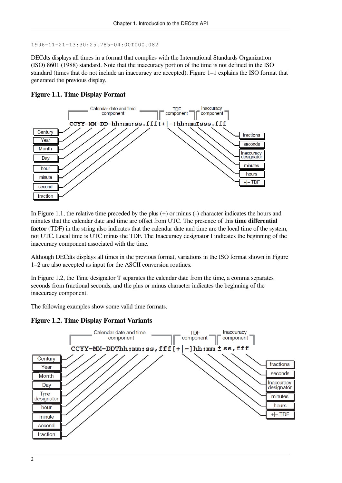1996-11-21-13:30:25.785-04:00I000.082

DECdts displays all times in a format that complies with the International Standards Organization (ISO) 8601 (1988) standard. Note that the inaccuracy portion of the time is not defined in the ISO standard (times that do not include an inaccuracy are accepted). Figure 1–1 explains the ISO format that generated the previous display.

#### <span id="page-7-0"></span>**Figure 1.1. Time Display Format**



In [Figure](#page-7-0) 1.1, the relative time preceded by the plus (+) or minus (-) character indicates the hours and minutes that the calendar date and time are offset from UTC. The presence of this **time differential factor** (TDF) in the string also indicates that the calendar date and time are the local time of the system, not UTC. Local time is UTC minus the TDF. The Inaccuracy designator I indicates the beginning of the inaccuracy component associated with the time.

Although DECdts displays all times in the previous format, variations in the ISO format shown in Figure 1–2 are also accepted as input for the ASCII conversion routines.

In [Figure](#page-7-1) 1.2, the Time designator T separates the calendar date from the time, a comma separates seconds from fractional seconds, and the plus or minus character indicates the beginning of the inaccuracy component.

<span id="page-7-1"></span>The following examples show some valid time formats.

**Figure 1.2. Time Display Format Variants**

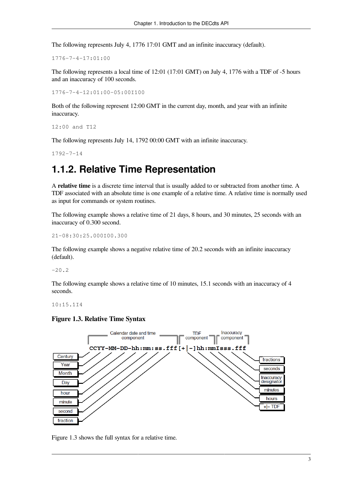The following represents July 4, 1776 17:01 GMT and an infinite inaccuracy (default).

1776-7-4-17:01:00

The following represents a local time of 12:01 (17:01 GMT) on July 4, 1776 with a TDF of -5 hours and an inaccuracy of 100 seconds.

1776-7-4-12:01:00-05:00I100

Both of the following represent 12:00 GMT in the current day, month, and year with an infinite inaccuracy.

12:00 and T12

The following represents July 14, 1792 00:00 GMT with an infinite inaccuracy.

<span id="page-8-0"></span> $1792 - 7 - 14$ 

## **1.1.2. Relative Time Representation**

A **relative time** is a discrete time interval that is usually added to or subtracted from another time. A TDF associated with an absolute time is one example of a relative time. A relative time is normally used as input for commands or system routines.

The following example shows a relative time of 21 days, 8 hours, and 30 minutes, 25 seconds with an inaccuracy of 0.300 second.

21-08:30:25.000I00.300

The following example shows a negative relative time of 20.2 seconds with an infinite inaccuracy (default).

 $-20.2$ 

The following example shows a relative time of 10 minutes, 15.1 seconds with an inaccuracy of 4 seconds.

<span id="page-8-1"></span>10:15.1I4

#### **Figure 1.3. Relative Time Syntax**



[Figure](#page-8-1) 1.3 shows the full syntax for a relative time.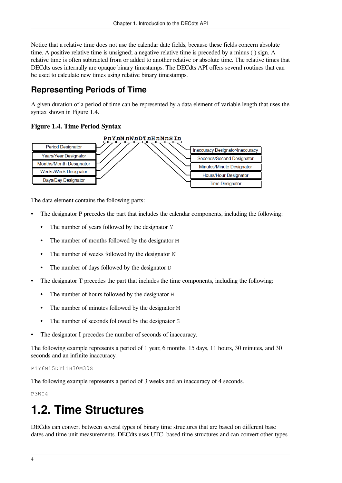Notice that a relative time does not use the calendar date fields, because these fields concern absolute time. A positive relative time is unsigned; a negative relative time is preceded by a minus ( ) sign. A relative time is often subtracted from or added to another relative or absolute time. The relative times that DECdts uses internally are opaque binary timestamps. The DECdts API offers several routines that can be used to calculate new times using relative binary timestamps.

## **Representing Periods of Time**

A given duration of a period of time can be represented by a data element of variable length that uses the syntax shown in [Figure](#page-9-1) 1.4.

#### <span id="page-9-1"></span>**Figure 1.4. Time Period Syntax**



The data element contains the following parts:

- The designator P precedes the part that includes the calendar components, including the following:
	- The number of years followed by the designator  $Y$
	- The number of months followed by the designator M
	- The number of weeks followed by the designator W
	- The number of days followed by the designator D
- The designator T precedes the part that includes the time components, including the following:
	- The number of hours followed by the designator H
	- The number of minutes followed by the designator M
	- The number of seconds followed by the designator S
- The designator I precedes the number of seconds of inaccuracy.

The following example represents a period of 1 year, 6 months, 15 days, 11 hours, 30 minutes, and 30 seconds and an infinite inaccuracy.

#### P1Y6M15DT11H30M30S

The following example represents a period of 3 weeks and an inaccuracy of 4 seconds.

P3WI4

# <span id="page-9-0"></span>**1.2. Time Structures**

DECdts can convert between several types of binary time structures that are based on different base dates and time unit measurements. DECdts uses UTC- based time structures and can convert other types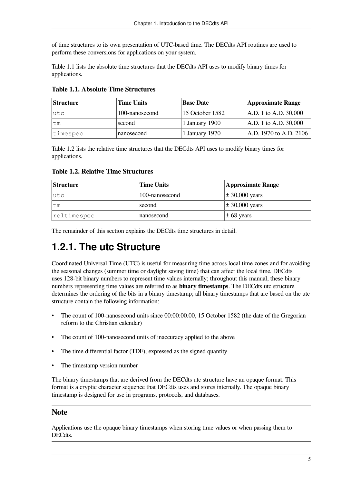of time structures to its own presentation of UTC-based time. The DECdts API routines are used to perform these conversions for applications on your system.

[Table](#page-10-1) 1.1 lists the absolute time structures that the DECdts API uses to modify binary times for applications.

| Structure | Time Units     | <b>Base Date</b>        | <b>Approximate Range</b> |
|-----------|----------------|-------------------------|--------------------------|
| utc       | 100-nanosecond | $\vert$ 15 October 1582 | $ A.D. 1$ to A.D. 30,000 |
| ltm       | second         | 1 January 1900          | A.D. 1 to A.D. 30,000    |
| timespec  | nanosecond     | 1 January 1970          | A.D. 1970 to A.D. 2106   |

#### <span id="page-10-1"></span>**Table 1.1. Absolute Time Structures**

[Table](#page-10-2) 1.2 lists the relative time structures that the DECdts API uses to modify binary times for applications.

| <b>Structure</b> | <b>Time Units</b> | <b>Approximate Range</b> |
|------------------|-------------------|--------------------------|
| utc              | 100-nanosecond    | $\pm$ 30,000 years       |
| tm               | second            | $\pm$ 30,000 years       |
| reltimespec      | nanosecond        | $\pm 68$ years           |

<span id="page-10-2"></span>**Table 1.2. Relative Time Structures**

<span id="page-10-0"></span>The remainder of this section explains the DECdts time structures in detail.

## **1.2.1. The utc Structure**

Coordinated Universal Time (UTC) is useful for measuring time across local time zones and for avoiding the seasonal changes (summer time or daylight saving time) that can affect the local time. DECdts uses 128-bit binary numbers to represent time values internally; throughout this manual, these binary numbers representing time values are referred to as **binary timestamps**. The DECdts utc structure determines the ordering of the bits in a binary timestamp; all binary timestamps that are based on the utc structure contain the following information:

- The count of 100-nanosecond units since 00:00:00.00, 15 October 1582 (the date of the Gregorian reform to the Christian calendar)
- The count of 100-nanosecond units of inaccuracy applied to the above
- The time differential factor (TDF), expressed as the signed quantity
- The timestamp version number

The binary timestamps that are derived from the DECdts utc structure have an opaque format. This format is a cryptic character sequence that DECdts uses and stores internally. The opaque binary timestamp is designed for use in programs, protocols, and databases.

#### **Note**

Applications use the opaque binary timestamps when storing time values or when passing them to DECdts.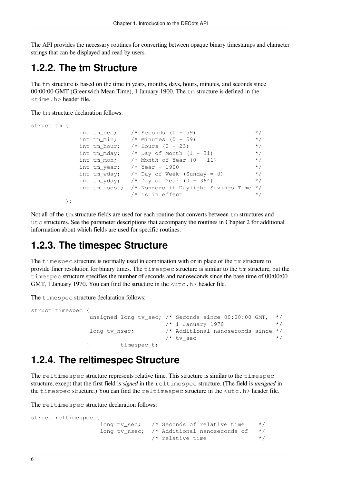The API provides the necessary routines for converting between opaque binary timestamps and character strings that can be displayed and read by users.

## <span id="page-11-0"></span>**1.2.2. The tm Structure**

The tm structure is based on the time in years, months, days, hours, minutes, and seconds since 00:00:00 GMT (Greenwich Mean Time), 1 January 1900. The tm structure is defined in the  $lt$  ime. h > header file.

The tm structure declaration follows:

```
struct tm {
           int tm\_sec; /* Seconds (0 - 59) */
           int tm_min; \frac{1}{2} /* Minutes (0 - 59) */
           int tm_hour; /* Hours (0 - 23) */
           int tm_mday; \frac{1}{2} /* Day of Month (1 - 31) */
int tm_mon; \prime * Month of Year (0 - 11) \prime */
int tm_year; \rightarrow Year - 1900 \rightarrow /
 int tm_wday; /* Day of Week (Sunday = 0) */
int tm_yday; \rightarrow \rightarrow Day of Year (0 - 364) \rightarrow */
             int tm_isdst; /* Nonzero if Daylight Savings Time */
                        \frac{1}{\sqrt{2}} is in effect \frac{1}{\sqrt{2}} };
```
Not all of the tm structure fields are used for each routine that converts between tm structures and utc structures. See the parameter descriptions that accompany the routines in [Chapter](#page-14-0) 2 for additional information about which fields are used for specific routines.

## <span id="page-11-1"></span>**1.2.3. The timespec Structure**

The timespec structure is normally used in combination with or in place of the tm structure to provide finer resolution for binary times. The timespec structure is similar to the tm structure, but the timespec structure specifies the number of seconds and nanoseconds since the base time of 00:00:00 GMT, 1 January 1970. You can find the structure in the  $\text{cutc.h>}$  header file.

The timespec structure declaration follows:

```
struct timespec {
                 unsigned long tv_sec; /* Seconds since 00:00:00 GMT, */
                 /* 1 January 1970 */<br>long tv_nsec; /* Additional nanoseconds since */
                                     \frac{1}{x} Additional nanoseconds since */
                                       \frac{1}{x} tv_sec */
                } timespec t;
```
## <span id="page-11-2"></span>**1.2.4. The reltimespec Structure**

The reltimespec structure represents relative time. This structure is similar to the timespec structure, except that the first field is *signed* in the reltimespec structure. (The field is *unsigned* in the timespec structure.) You can find the reltimespec structure in the  $\langle$ utc.h> header file.

The reltimespec structure declaration follows:

```
struct reltimespec {
                 long tv sec; /* Seconds of relative time */
                 long tv_nsec; /* Additional nanoseconds of */
                             /* relative time *
```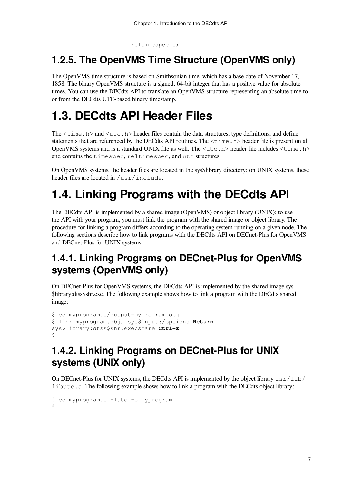} reltimespec\_t;

# <span id="page-12-0"></span>**1.2.5. The OpenVMS Time Structure (OpenVMS only)**

The OpenVMS time structure is based on Smithsonian time, which has a base date of November 17, 1858. The binary OpenVMS structure is a signed, 64-bit integer that has a positive value for absolute times. You can use the DECdts API to translate an OpenVMS structure representing an absolute time to or from the DECdts UTC-based binary timestamp.

# <span id="page-12-1"></span>**1.3. DECdts API Header Files**

The  $\times$ time.h> and  $\times$ utc.h> header files contain the data structures, type definitions, and define statements that are referenced by the DECdts API routines. The  $lttime.h$  header file is present on all OpenVMS systems and is a standard UNIX file as well. The  $\text{cutc}$ . h> header file includes  $\text{ltime}$ .h> and contains the timespec, reltimespec, and utc structures.

On OpenVMS systems, the header files are located in the sys\$library directory; on UNIX systems, these header files are located in /usr/include.

# <span id="page-12-2"></span>**1.4. Linking Programs with the DECdts API**

The DECdts API is implemented by a shared image (OpenVMS) or object library (UNIX); to use the API with your program, you must link the program with the shared image or object library. The procedure for linking a program differs according to the operating system running on a given node. The following sections describe how to link programs with the DECdts API on DECnet-Plus for OpenVMS and DECnet-Plus for UNIX systems.

# <span id="page-12-3"></span>**1.4.1. Linking Programs on DECnet-Plus for OpenVMS systems (OpenVMS only)**

On DECnet-Plus for OpenVMS systems, the DECdts API is implemented by the shared image sys \$library:dtss\$shr.exe. The following example shows how to link a program with the DECdts shared image:

```
$ cc myprogram.c/output=myprogram.obj
$ link myprogram.obj, sys$input:/options Return
sys$library:dtss$shr.exe/share Ctrl-z
\ddot{\varsigma}
```
# <span id="page-12-4"></span>**1.4.2. Linking Programs on DECnet-Plus for UNIX systems (UNIX only)**

On DECnet-Plus for UNIX systems, the DECdts API is implemented by the object library  $\frac{usr}{\text{lib}}$ libutc.a. The following example shows how to link a program with the DECdts object library:

```
# cc myprogram.c -lutc -o myprogram
#
```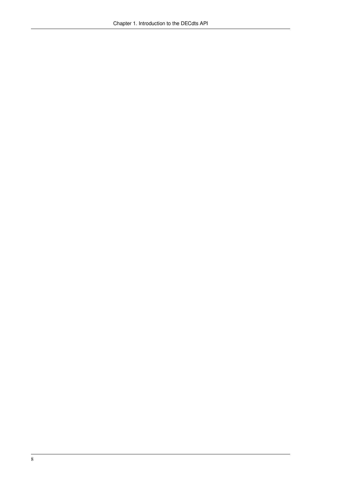Chapter 1. Introduction to the DECdts API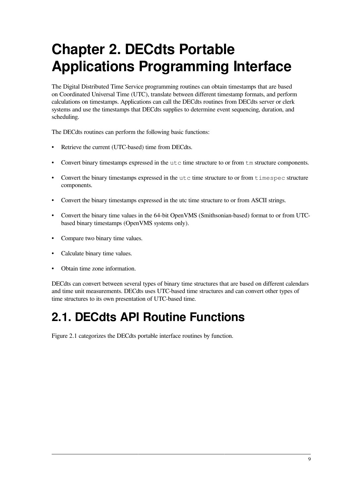# <span id="page-14-0"></span>**Chapter 2. DECdts Portable Applications Programming Interface**

The Digital Distributed Time Service programming routines can obtain timestamps that are based on Coordinated Universal Time (UTC), translate between different timestamp formats, and perform calculations on timestamps. Applications can call the DECdts routines from DECdts server or clerk systems and use the timestamps that DECdts supplies to determine event sequencing, duration, and scheduling.

The DECdts routines can perform the following basic functions:

- Retrieve the current (UTC-based) time from DECdts.
- Convert binary timestamps expressed in the  $u \tau c$  time structure to or from  $\tau m$  structure components.
- Convert the binary timestamps expressed in the utc time structure to or from timespec structure components.
- Convert the binary timestamps expressed in the utc time structure to or from ASCII strings.
- Convert the binary time values in the 64-bit OpenVMS (Smithsonian-based) format to or from UTCbased binary timestamps (OpenVMS systems only).
- Compare two binary time values.
- Calculate binary time values.
- Obtain time zone information.

DECdts can convert between several types of binary time structures that are based on different calendars and time unit measurements. DECdts uses UTC-based time structures and can convert other types of time structures to its own presentation of UTC-based time.

# <span id="page-14-1"></span>**2.1. DECdts API Routine Functions**

[Figure](#page-15-0) 2.1 categorizes the DECdts portable interface routines by function.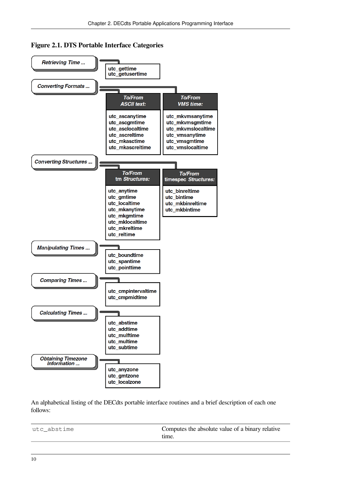<span id="page-15-0"></span>



An alphabetical listing of the DECdts portable interface routines and a brief description of each one follows:

| utc abstime | Computes the absolute value of a binary relative |
|-------------|--------------------------------------------------|
|             | time.                                            |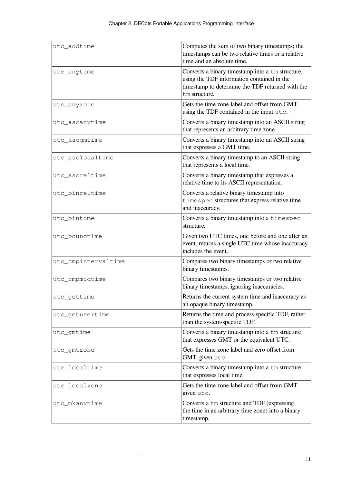| utc_addtime         | Computes the sum of two binary timestamps; the<br>timestamps can be two relative times or a relative<br>time and an absolute time.                                  |
|---------------------|---------------------------------------------------------------------------------------------------------------------------------------------------------------------|
| utc_anytime         | Converts a binary timestamp into a tm structure,<br>using the TDF information contained in the<br>timestamp to determine the TDF returned with the<br>tm structure. |
| utc_anyzone         | Gets the time zone label and offset from GMT,<br>using the TDF contained in the input utc.                                                                          |
| utc_ascanytime      | Converts a binary timestamp into an ASCII string<br>that represents an arbitrary time zone.                                                                         |
| utc_ascgmtime       | Converts a binary timestamp into an ASCII string<br>that expresses a GMT time.                                                                                      |
| utc_asclocaltime    | Converts a binary timestamp to an ASCII string<br>that represents a local time.                                                                                     |
| utc_ascreltime      | Converts a binary timestamp that expresses a<br>relative time to its ASCII representation.                                                                          |
| utc_binreltime      | Converts a relative binary timestamp into<br>timespec structures that express relative time<br>and inaccuracy.                                                      |
| utc_bintime         | Converts a binary timestamp into a timespec<br>structure.                                                                                                           |
| utc_boundtime       | Given two UTC times, one before and one after an<br>event, returns a single UTC time whose inaccuracy<br>includes the event.                                        |
| utc_cmpintervaltime | Compares two binary timestamps or two relative<br>binary timestamps.                                                                                                |
| utc_cmpmidtime      | Compares two binary timestamps or two relative<br>binary timestamps, ignoring inaccuracies.                                                                         |
| utc_gettime         | Returns the current system time and inaccuracy as<br>an opaque binary timestamp.                                                                                    |
| utc_getusertime     | Returns the time and process-specific TDF, rather<br>than the system-specific TDF.                                                                                  |
| utc_qmtime          | Converts a binary timestamp into a tm structure<br>that expresses GMT or the equivalent UTC.                                                                        |
| utc_gmtzone         | Gets the time zone label and zero offset from<br>GMT, given utc.                                                                                                    |
| utc_localtime       | Converts a binary timestamp into a tm structure<br>that expresses local time.                                                                                       |
| utc_localzone       | Gets the time zone label and offset from GMT,<br>given utc.                                                                                                         |
| utc_mkanytime       | Converts a tm structure and TDF (expressing<br>the time in an arbitrary time zone) into a binary<br>timestamp.                                                      |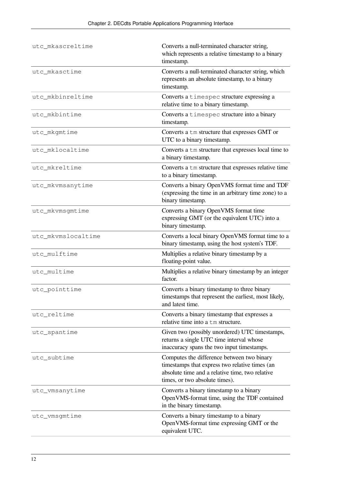| utc_mkascreltime   | Converts a null-terminated character string,<br>which represents a relative timestamp to a binary<br>timestamp.                                                                   |
|--------------------|-----------------------------------------------------------------------------------------------------------------------------------------------------------------------------------|
| utc_mkasctime      | Converts a null-terminated character string, which<br>represents an absolute timestamp, to a binary<br>timestamp.                                                                 |
| utc_mkbinreltime   | Converts a timespec structure expressing a<br>relative time to a binary timestamp.                                                                                                |
| utc_mkbintime      | Converts a timespec structure into a binary<br>timestamp.                                                                                                                         |
| utc_mkgmtime       | Converts a tm structure that expresses GMT or<br>UTC to a binary timestamp.                                                                                                       |
| utc_mklocaltime    | Converts a tm structure that expresses local time to<br>a binary timestamp.                                                                                                       |
| utc_mkreltime      | Converts a tm structure that expresses relative time<br>to a binary timestamp.                                                                                                    |
| utc_mkvmsanytime   | Converts a binary OpenVMS format time and TDF<br>(expressing the time in an arbitrary time zone) to a<br>binary timestamp.                                                        |
| utc_mkvmsgmtime    | Converts a binary OpenVMS format time<br>expressing GMT (or the equivalent UTC) into a<br>binary timestamp.                                                                       |
| utc_mkvmslocaltime | Converts a local binary OpenVMS format time to a<br>binary timestamp, using the host system's TDF.                                                                                |
| utc_mulftime       | Multiplies a relative binary timestamp by a<br>floating-point value.                                                                                                              |
| utc_multime        | Multiplies a relative binary timestamp by an integer<br>factor.                                                                                                                   |
| utc_pointtime      | Converts a binary timestamp to three binary<br>timestamps that represent the earliest, most likely,<br>and latest time.                                                           |
| utc_reltime        | Converts a binary timestamp that expresses a<br>relative time into a tm structure.                                                                                                |
| utc_spantime       | Given two (possibly unordered) UTC timestamps,<br>returns a single UTC time interval whose<br>inaccuracy spans the two input timestamps.                                          |
| utc_subtime        | Computes the difference between two binary<br>timestamps that express two relative times (an<br>absolute time and a relative time, two relative<br>times, or two absolute times). |
| utc_vmsanytime     | Converts a binary timestamp to a binary<br>OpenVMS-format time, using the TDF contained<br>in the binary timestamp.                                                               |
| utc_vmsgmtime      | Converts a binary timestamp to a binary<br>OpenVMS-format time expressing GMT or the<br>equivalent UTC.                                                                           |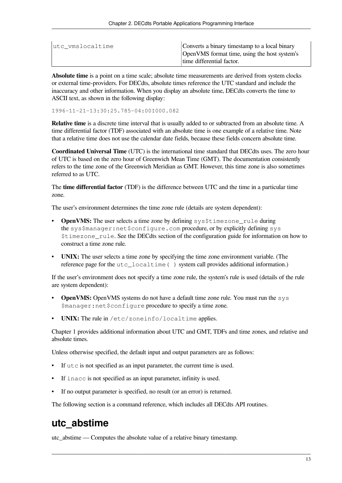**Absolute time** is a point on a time scale; absolute time measurements are derived from system clocks or external time-providers. For DECdts, absolute times reference the UTC standard and include the inaccuracy and other information. When you display an absolute time, DECdts converts the time to ASCII text, as shown in the following display:

1996-11-21-13:30:25.785-04:00I000.082

**Relative time** is a discrete time interval that is usually added to or subtracted from an absolute time. A time differential factor (TDF) associated with an absolute time is one example of a relative time. Note that a relative time does not use the calendar date fields, because these fields concern absolute time.

**Coordinated Universal Time** (UTC) is the international time standard that DECdts uses. The zero hour of UTC is based on the zero hour of Greenwich Mean Time (GMT). The documentation consistently refers to the time zone of the Greenwich Meridian as GMT. However, this time zone is also sometimes referred to as UTC.

The **time differential factor** (TDF) is the difference between UTC and the time in a particular time zone.

The user's environment determines the time zone rule (details are system dependent):

- **OpenVMS:** The user selects a time zone by defining sys\$timezone\_rule during the sys\$manager:net\$configure.com procedure, or by explicitly defining sys \$timezone\_rule. See the DECdts section of the configuration guide for information on how to construct a time zone rule.
- **UNIX:** The user selects a time zone by specifying the time zone environment variable. (The reference page for the utc\_localtime() system call provides additional information.)

If the user's environment does not specify a time zone rule, the system's rule is used (details of the rule are system dependent):

- **OpenVMS:** OpenVMS systems do not have a default time zone rule. You must run the sys \$manager:net\$configure procedure to specify a time zone.
- **UNIX:** The rule in /etc/zoneinfo/localtime applies.

[Chapter](#page-6-0) 1 provides additional information about UTC and GMT, TDFs and time zones, and relative and absolute times.

Unless otherwise specified, the default input and output parameters are as follows:

- If  $u \circ t$  is not specified as an input parameter, the current time is used.
- If inacc is not specified as an input parameter, infinity is used.
- If no output parameter is specified, no result (or an error) is returned.

The following section is a command reference, which includes all DECdts API routines.

## **utc\_abstime**

utc\_abstime — Computes the absolute value of a relative binary timestamp.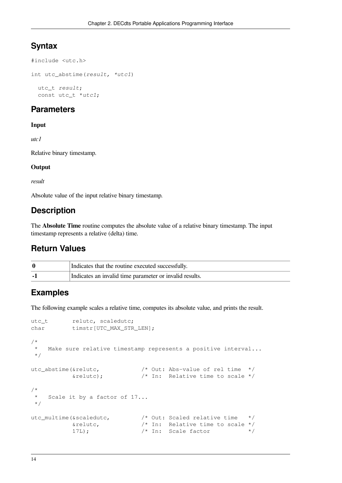## **Syntax**

```
#include <utc.h>
int utc_abstime(result, *utc1)
   utc_t result;
```
const utc\_t \**utc1*;

#### **Parameters**

#### **Input**

*utc1*

Relative binary timestamp.

#### **Output**

*result*

Absolute value of the input relative binary timestamp.

#### **Description**

The **Absolute Time** routine computes the absolute value of a relative binary timestamp. The input timestamp represents a relative (delta) time.

#### **Return Values**

| Indicates that the routine executed successfully.       |  |  |  |
|---------------------------------------------------------|--|--|--|
| Indicates an invalid time parameter or invalid results. |  |  |  |

#### **Examples**

The following example scales a relative time, computes its absolute value, and prints the result.

```
utc_t relutc, scaledutc;
char timstr[UTC_MAX_STR_LEN];
/*
 * Make sure relative timestamp represents a positive interval...
 */
utc_abstime(&relutc, /* Out: Abs-value of rel time */
           &relutc); /* In: Relative time to scale */
/*
  * Scale it by a factor of 17...
 */
utc_multime(&scaledutc, /* Out: Scaled relative time */
           &relutc, /* In: Relative time to scale */
           17L); \frac{1}{\sqrt{2}} /* In: Scale factor \frac{1}{\sqrt{2}}
```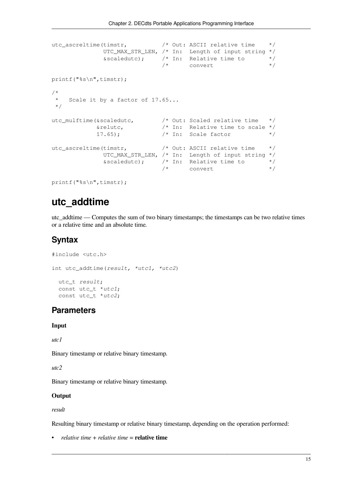```
utc_ascreltime(timstr, \frac{1}{2} /* Out: ASCII relative time */
                UTC_MAX_STR_LEN, /* In: Length of input string */
               \text{``scaledute)}; /* In: Relative time to */
                                 \frac{1}{x} convert \frac{x}{x}printf("%s\n",timstr);
/*
 * Scale it by a factor of 17.65...
  */
utc_mulftime(&scaledutc, /* Out: Scaled relative time */
              &relutc, /* In: Relative time to scale */
             17.65); \frac{1}{2} /* In: Scale factor \frac{1}{2} /
utc_ascreltime(timstr, /* Out: ASCII relative time */
               UTC_MAX_STR_LEN, /* Out: ASCII Telacive cime<br>UTC_MAX_STR_LEN, /* In: Length of input string */
               \text{%} &scaledutc); \frac{1}{2} /* In: Relative time to \frac{1}{2} /
                                 \frac{1}{x} convert \frac{x}{x}
```

```
printf("%s\n",timstr);
```
## **utc\_addtime**

utc\_addtime — Computes the sum of two binary timestamps; the timestamps can be two relative times or a relative time and an absolute time.

#### **Syntax**

```
#include <utc.h>
int utc_addtime(result, *utc1, *utc2)
   utc_t result;
   const utc_t *utc1;
   const utc_t *utc2;
```
#### **Parameters**

#### **Input**

*utc1*

Binary timestamp or relative binary timestamp.

*utc2*

Binary timestamp or relative binary timestamp.

#### **Output**

*result*

Resulting binary timestamp or relative binary timestamp, depending on the operation performed:

```
• relative time + relative time = relative time
```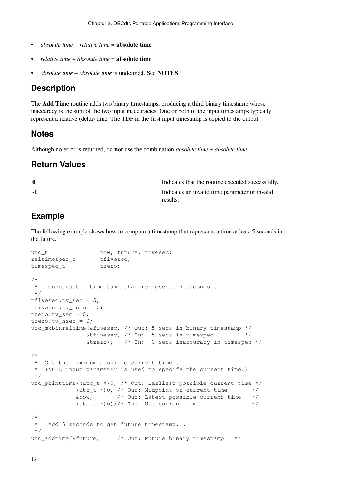- *absolute time* + *relative time* = **absolute time**
- *relative time* + *absolute time* = **absolute time**
- *absolute time* + *absolute time* is undefined. See **NOTES**.

#### **Description**

The **Add Time** routine adds two binary timestamps, producing a third binary timestamp whose inaccuracy is the sum of the two input inaccuracies. One or both of the input timestamps typically represent a relative (delta) time. The TDF in the first input timestamp is copied to the output.

#### **Notes**

Although no error is returned, do **not** use the combination *absolute time* + *absolute time*

#### **Return Values**

| Indicates that the routine executed successfully.                   |
|---------------------------------------------------------------------|
| Indicates an invalid time parameter or invalid<br>$\lvert$ results. |

#### **Example**

The following example shows how to compute a timestamp that represents a time at least 5 seconds in the future.

```
utc_t now, future, fivesec;
reltimespec_t tfivesec;
timespec_t tzero;
/*
  * Construct a timestamp that represents 5 seconds...
 */
tfivesec.tv_sec = 5;
tfivesec.tv_nsec = 0;
tzero.tv_sec = 0;tzero.tv_nsec = 0;utc_mkbinreltime(&fivesec, /* Out: 5 secs in binary timestamp */
              &tfivesec, /* In: 5 secs in timespec * /\text{atzero}; /* In: 0 secs inaccuracy in timespec */
/*
  * Get the maximum possible current time...
  (NULL input parameter is used to specify the current time.)
 */
utc_pointtime((utc_t *)0, /* Out: Earliest possible current time */
            (utc_t *) 0, /* Out: Midpoint of current time */
             &now, /* Out: Latest possible current time */
            (\text{utc}_t * ) 0; /* In: Use current time */*
    Add 5 seconds to get future timestamp...
 */
utc_addtime(&future, /* Out: Future binary timestamp */
```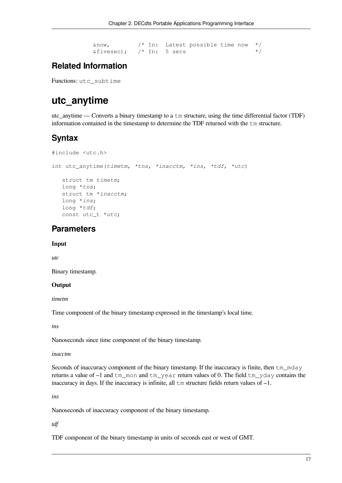| $\&$ now.                                                                                                                                                                                                                                                                                    |  | /* In: Latest possible time now */ |  |  |
|----------------------------------------------------------------------------------------------------------------------------------------------------------------------------------------------------------------------------------------------------------------------------------------------|--|------------------------------------|--|--|
| $\text{%}$ & fivesec); $\frac{1}{2}$ $\frac{1}{2}$ $\frac{1}{2}$ for $\frac{1}{2}$ for $\frac{1}{2}$ for $\frac{1}{2}$ for $\frac{1}{2}$ for $\frac{1}{2}$ for $\frac{1}{2}$ for $\frac{1}{2}$ for $\frac{1}{2}$ for $\frac{1}{2}$ for $\frac{1}{2}$ for $\frac{1}{2}$ for $\frac{1}{2}$ for |  |                                    |  |  |

## **Related Information**

Functions: utc\_subtime

## **utc\_anytime**

utc\_anytime — Converts a binary timestamp to a tm structure, using the time differential factor (TDF) information contained in the timestamp to determine the TDF returned with the tm structure.

## **Syntax**

```
#include <utc.h>
int utc_anytime(timetm, *tns, *inacctm, *ins, *tdf, *utc)
    struct tm timetm;
    long *tns;
    struct tm *inacctm;
    long *ins;
    long *tdf;
    const utc_t *utc;
```
#### **Parameters**

#### **Input**

*utc*

Binary timestamp.

#### **Output**

*timetm*

Time component of the binary timestamp expressed in the timestamp's local time.

*tns*

Nanoseconds since time component of the binary timestamp.

*inacctm*

Seconds of inaccuracy component of the binary timestamp. If the inaccuracy is finite, then  $\tan \text{mag}$ returns a value of –1 and tm\_mon and tm\_year return values of 0. The field tm\_yday contains the inaccuracy in days. If the inaccuracy is infinite, all  $\tan$  structure fields return values of -1.

*ins*

Nanoseconds of inaccuracy component of the binary timestamp.

#### *tdf*

TDF component of the binary timestamp in units of seconds east or west of GMT.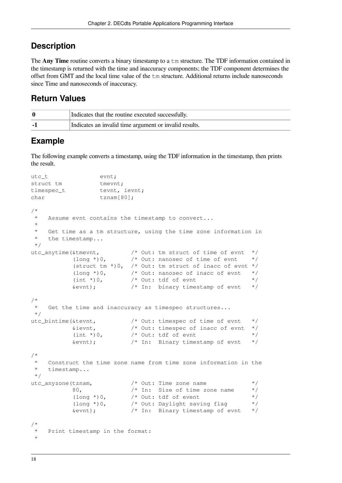#### **Description**

The **Any Time** routine converts a binary timestamp to a tm structure. The TDF information contained in the timestamp is returned with the time and inaccuracy components; the TDF component determines the offset from GMT and the local time value of the tm structure. Additional returns include nanoseconds since Time and nanoseconds of inaccuracy.

#### **Return Values**

| Indicates that the routine executed successfully.      |  |  |  |
|--------------------------------------------------------|--|--|--|
| Indicates an invalid time argument or invalid results. |  |  |  |

#### **Example**

The following example converts a timestamp, using the TDF information in the timestamp, then prints the result.

```
utc_t evnt;
struct tm tmevnt;
timespec_t tevnt, ievnt;
char tznam[80];
/*
 * Assume evnt contains the timestamp to convert...
 *
  * Get time as a tm structure, using the time zone information in
  * the timestamp...
 */
utc_anytime(&tmevnt, /* Out: tm struct of time of evnt */
           (long *)0, /* Out: nanosec of time of evnt */
           (struct tm *) 0, /* Out: tm struct of inacc of evnt */
           (long *) 0, /* Out: nanosec of inacc of evnt */(int *) 0, /* Out: tdf of evnt */\text{Kevnt}; \frac{1}{\sqrt{2\pi}} /* In: binary timestamp of evnt */
/*
    Get the time and inaccuracy as timespec structures...
 */
utc_bintime(&tevnt, /* Out: timespec of time of evnt */
           &ievnt, /* Out: timespec of inacc of evnt */
          (int *) 0, /* Out: tdf of evnt */
           &evnt); /* In: Binary timestamp of evnt */
/*
    Construct the time zone name from time zone information in the
     * timestamp...
 */
utc_anyzone(tznam, /* Out: Time zone name */
           80, /* In: Size of time zone name */
           (long \star) 0, \qquad /\star 0ut: tdf of event \qquad \star/
           (long *) 0, /* Out: Daylight saving flag */
          \text{Kevnt}; \frac{1}{\sqrt{2\pi}} /* In: Binary timestamp of evnt */
/*
    Print timestamp in the format:
 *
```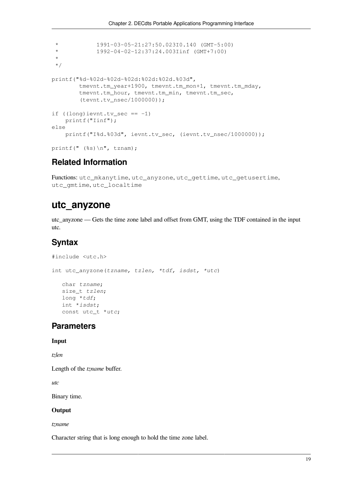```
 * 1991-03-05-21:27:50.023I0.140 (GMT-5:00)
  * 1992-04-02-12:37:24.003Iinf (GMT+7:00)
  *
 */
printf("%d-%02d-%02d-%02d:%02d:%02d.%03d",
        tmevnt.tm_year+1900, tmevnt.tm_mon+1, tmevnt.tm_mday,
        tmevnt.tm_hour, tmevnt.tm_min, tmevnt.tm_sec,
         (tevnt.tv_nsec/1000000));
if ((long)ievnt.tv_sec == -1)
    printf("Iinf");
else
    printf("I%d.%03d", ievnt.tv_sec, (ievnt.tv_nsec/1000000));
printf(" (%s)\n", tznam);
```
#### **Related Information**

Functions: utc\_mkanytime, utc\_anyzone, utc\_gettime, utc\_getusertime, utc\_gmtime, utc\_localtime

## **utc\_anyzone**

utc\_anyzone — Gets the time zone label and offset from GMT, using the TDF contained in the input utc.

#### **Syntax**

```
#include <utc.h>
int utc_anyzone(tzname, tzlen, *tdf, isdst, *utc)
    char tzname;
    size_t tzlen;
    long *tdf;
    int *isdst;
    const utc_t *utc;
```
#### **Parameters**

#### **Input**

*tzlen*

Length of the *tzname* buffer.

*utc*

Binary time.

#### **Output**

#### *tzname*

Character string that is long enough to hold the time zone label.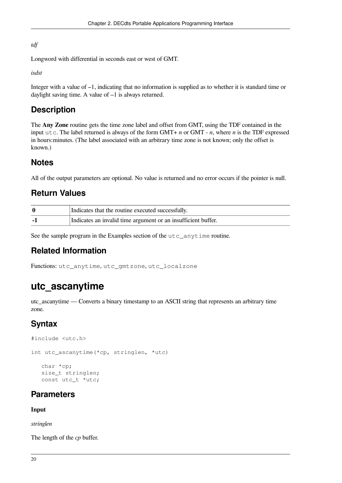#### *tdf*

Longword with differential in seconds east or west of GMT.

*isdst*

Integer with a value of –1, indicating that no information is supplied as to whether it is standard time or daylight saving time. A value of –1 is always returned.

## **Description**

The **Any Zone** routine gets the time zone label and offset from GMT, using the TDF contained in the input  $utc$ . The label returned is always of the form GMT+ *n* or GMT - *n*, where *n* is the TDF expressed in hours:minutes. (The label associated with an arbitrary time zone is not known; only the offset is known.)

### **Notes**

All of the output parameters are optional. No value is returned and no error occurs if the pointer is null.

#### **Return Values**

| 0 | Indicates that the routine executed successfully.             |
|---|---------------------------------------------------------------|
|   | Indicates an invalid time argument or an insufficient buffer. |

See the sample program in the Examples section of the utc\_anytime routine.

## **Related Information**

Functions: utc\_anytime, utc\_gmtzone, utc\_localzone

## **utc\_ascanytime**

utc\_ascanytime — Converts a binary timestamp to an ASCII string that represents an arbitrary time zone.

## **Syntax**

```
#include <utc.h>
int utc_ascanytime(*cp, stringlen, *utc)
    char *cp;
    size_t stringlen;
    const utc_t *utc;
```
## **Parameters**

#### **Input**

*stringlen*

The length of the *cp* buffer.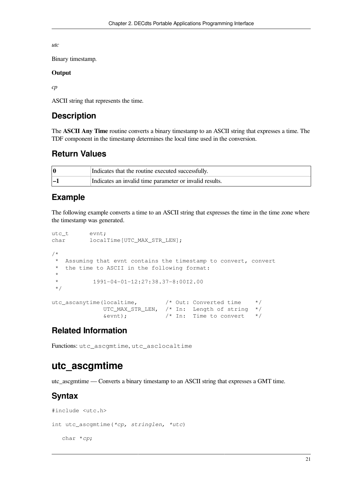*utc*

Binary timestamp.

#### **Output**

*cp*

ASCII string that represents the time.

### **Description**

The **ASCII Any Time** routine converts a binary timestamp to an ASCII string that expresses a time. The TDF component in the timestamp determines the local time used in the conversion.

### **Return Values**

| Indicates that the routine executed successfully.       |
|---------------------------------------------------------|
| Indicates an invalid time parameter or invalid results. |

#### **Example**

The following example converts a time to an ASCII string that expresses the time in the time zone where the timestamp was generated.

```
utc t evnt;
char localTime[UTC_MAX_STR_LEN];
/*
 * Assuming that evnt contains the timestamp to convert, convert
  * the time to ASCII in the following format:
  *
  * 1991-04-01-12:27:38.37-8:00I2.00
  */
utc_ascanytime(localtime, /* Out: Converted time */
              UTC_MAX_STR_LEN, /* In: Length of string */
             \text{`event)}; /* In: Time to convert */
```
## **Related Information**

Functions: utc\_ascgmtime, utc\_asclocaltime

## **utc\_ascgmtime**

utc\_ascgmtime — Converts a binary timestamp to an ASCII string that expresses a GMT time.

#### **Syntax**

```
#include <utc.h>
int utc_ascgmtime(*cp, stringlen, *utc)
    char *cp;
```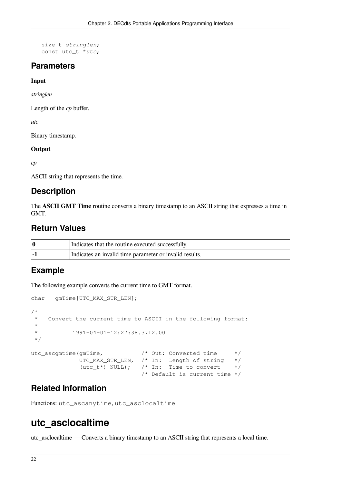```
 size_t stringlen;
 const utc_t *utc;
```
## **Parameters**

#### **Input**

*stringlen*

Length of the *cp* buffer.

*utc*

Binary timestamp.

#### **Output**

*cp*

ASCII string that represents the time.

#### **Description**

The **ASCII GMT Time** routine converts a binary timestamp to an ASCII string that expresses a time in GMT.

### **Return Values**

| $ 0\rangle$ | Indicates that the routine executed successfully.       |
|-------------|---------------------------------------------------------|
|             | Indicates an invalid time parameter or invalid results. |

## **Example**

The following example converts the current time to GMT format.

```
char gmTime[UTC_MAX_STR_LEN];
/*
  * Convert the current time to ASCII in the following format:
 *
  * 1991-04-01-12:27:38.37I2.00
 */
utc_ascgmtime(gmTime, \frac{1}{2} /* Out: Converted time */
 UTC_MAX_STR_LEN, /* In: Length of string */
(utc_t*) NULL); \quad /* In: Time to convert \quad */
                              /* Default is current time */
```
## **Related Information**

Functions: utc\_ascanytime, utc\_asclocaltime

## **utc\_asclocaltime**

utc\_asclocaltime — Converts a binary timestamp to an ASCII string that represents a local time.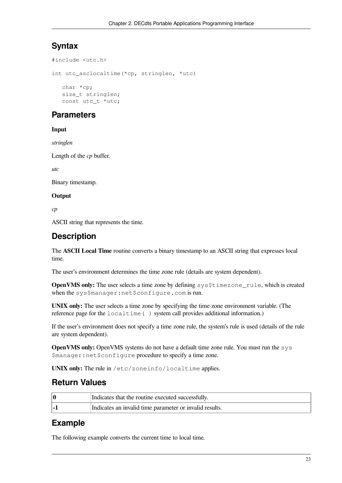## **Syntax**

```
#include <utc.h>
```

```
int utc_asclocaltime(*cp, stringlen, *utc)
```

```
 char *cp;
 size_t stringlen;
 const utc_t *utc;
```
## **Parameters**

**Input**

*stringlen*

Length of the *cp* buffer.

*utc*

Binary timestamp.

#### **Output**

*cp*

ASCII string that represents the time.

## **Description**

The **ASCII Local Time** routine converts a binary timestamp to an ASCII string that expresses local time.

The user's environment determines the time zone rule (details are system dependent).

**OpenVMS only:** The user selects a time zone by defining sys\$timezone\_rule, which is created when the sys\$manager:net\$configure.com is run.

**UNIX only:** The user selects a time zone by specifying the time zone environment variable. (The reference page for the localtime () system call provides additional information.)

If the user's environment does not specify a time zone rule, the system's rule is used (details of the rule are system dependent).

**OpenVMS only:** OpenVMS systems do not have a default time zone rule. You must run the sys \$manager:net\$configure procedure to specify a time zone.

**UNIX only:** The rule in /etc/zoneinfo/localtime applies.

## **Return Values**

| Indicates that the routine executed successfully.       |
|---------------------------------------------------------|
| Indicates an invalid time parameter or invalid results. |

## **Example**

The following example converts the current time to local time.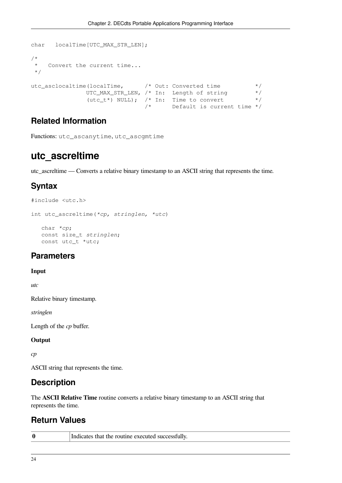```
char localTime[UTC_MAX_STR_LEN];
/*
  * Convert the current time...
  */
utc_asclocaltime(localTime, /* Out: Converted time */
               UTC_MAX_STR_LEN, /* In: Length of string */
                ( \text{utc}_t^+ ) NULL); /* In: Time to convert \overline{\hspace{1cm}} /
                                  /* Default is current time */
```
### **Related Information**

Functions: utc\_ascanytime, utc\_ascgmtime

## **utc\_ascreltime**

utc\_ascreltime — Converts a relative binary timestamp to an ASCII string that represents the time.

## **Syntax**

```
#include <utc.h>
```

```
int utc_ascreltime(*cp, stringlen, *utc)
```

```
 char *cp;
 const size_t stringlen;
 const utc_t *utc;
```
## **Parameters**

#### **Input**

*utc*

Relative binary timestamp.

*stringlen*

Length of the *cp* buffer.

#### **Output**

*cp*

ASCII string that represents the time.

## **Description**

The **ASCII Relative Time** routine converts a relative binary timestamp to an ASCII string that represents the time.

## **Return Values**

| 0<br>Indicates that the routine executed successfully. |  |
|--------------------------------------------------------|--|
|--------------------------------------------------------|--|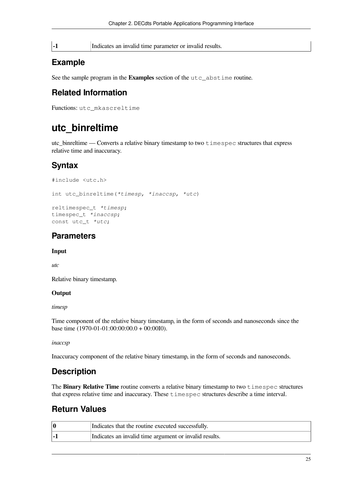**-1** Indicates an invalid time parameter or invalid results.

#### **Example**

See the sample program in the **Examples** section of the utc\_abstime routine.

## **Related Information**

```
Functions: utc_mkascreltime
```
## **utc\_binreltime**

utc\_binreltime — Converts a relative binary timestamp to two timespec structures that express relative time and inaccuracy.

### **Syntax**

```
#include <utc.h>
int utc_binreltime(*timesp, *inaccsp, *utc)
reltimespec_t *timesp;
timespec_t *inaccsp;
```
### **Parameters**

const utc\_t *\*utc*;

#### **Input**

*utc*

Relative binary timestamp.

#### **Output**

*timesp*

Time component of the relative binary timestamp, in the form of seconds and nanoseconds since the base time (1970-01-01:00:00:00.0 + 00:00I0).

*inaccsp*

Inaccuracy component of the relative binary timestamp, in the form of seconds and nanoseconds.

## **Description**

The **Binary Relative Time** routine converts a relative binary timestamp to two timespec structures that express relative time and inaccuracy. These timespec structures describe a time interval.

#### **Return Values**

| Indicates that the routine executed successfully.      |
|--------------------------------------------------------|
| Indicates an invalid time argument or invalid results. |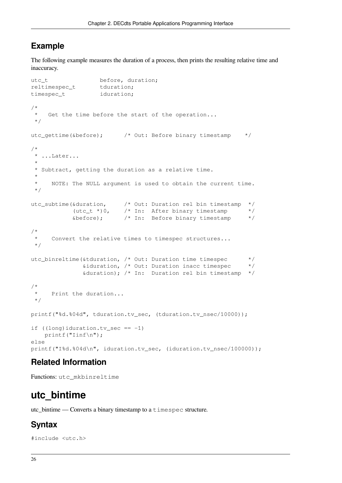### **Example**

The following example measures the duration of a process, then prints the resulting relative time and inaccuracy.

```
utc_t before, duration;
reltimespec_t tduration;
timespec_t iduration;
/*
    Get the time before the start of the operation...
 */
utc gettime(&before); / * Out: Before binary timestamp */
/*
 * ...Later...
 *
 * Subtract, getting the duration as a relative time.
 *
  * NOTE: The NULL argument is used to obtain the current time.
  */
utc_subtime(&duration, /* Out: Duration rel bin timestamp */
           (utc_t *) 0, /* In: After binary timestamp */
           \deltabefore); /* In: Before binary timestamp */
/*
     Convert the relative times to timespec structures...
 */
utc_binreltime(&tduration, /* Out: Duration time timespec */
               &iduration, /* Out: Duration inacc timespec */
              \deltaduration); /* In: Duration rel bin timestamp */
/*
 * Print the duration...
  */
printf("%d.%04d", tduration.tv_sec, (tduration.tv_nsec/10000));
if ((long)iduration.tv_sec == -1)
    printf("Iinf\n");
else
printf("I%d.%04d\n", iduration.tv_sec, (iduration.tv_nsec/100000));
```
#### **Related Information**

Functions: utc\_mkbinreltime

## **utc\_bintime**

utc\_bintime — Converts a binary timestamp to a timespec structure.

## **Syntax**

#include <utc.h>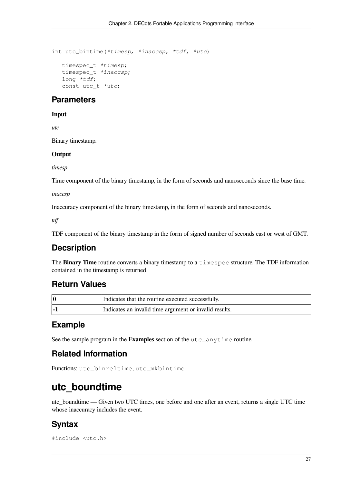```
int utc_bintime(*timesp, *inaccsp, *tdf, *utc)
    timespec_t *timesp;
    timespec_t *inaccsp;
    long *tdf;
    const utc_t *utc;
```
#### **Parameters**

#### **Input**

*utc*

Binary timestamp.

#### **Output**

*timesp*

Time component of the binary timestamp, in the form of seconds and nanoseconds since the base time.

*inaccsp*

Inaccuracy component of the binary timestamp, in the form of seconds and nanoseconds.

*tdf*

TDF component of the binary timestamp in the form of signed number of seconds east or west of GMT.

## **Decsription**

The **Binary Time** routine converts a binary timestamp to a timespec structure. The TDF information contained in the timestamp is returned.

## **Return Values**

| Indicates that the routine executed successfully.      |
|--------------------------------------------------------|
| Indicates an invalid time argument or invalid results. |

#### **Example**

See the sample program in the **Examples** section of the utc\_anytime routine.

## **Related Information**

Functions: utc\_binreltime, utc\_mkbintime

## **utc\_boundtime**

utc\_boundtime — Given two UTC times, one before and one after an event, returns a single UTC time whose inaccuracy includes the event.

## **Syntax**

#include <utc.h>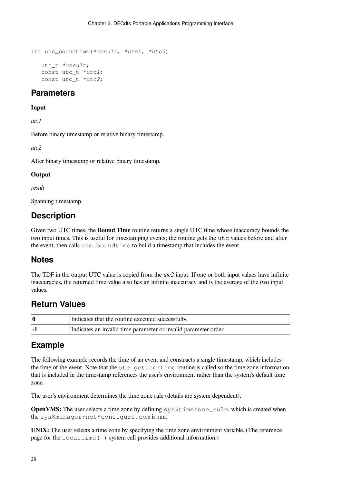```
int utc_boundtime(*result, *utc1, *utc2)
   utc_t *result;
    const utc_t *utc1;
    const utc_t *utc2;
```
### **Parameters**

#### **Input**

*utc1*

Before binary timestamp or relative binary timestamp.

*utc2*

After binary timestamp or relative binary timestamp.

#### **Output**

*result*

Spanning timestamp.

## **Description**

Given two UTC times, the **Bound Time** routine returns a single UTC time whose inaccuracy bounds the two input times. This is useful for timestamping events; the routine gets the utc values before and after the event, then calls utc\_boundtime to build a timestamp that includes the event.

#### **Notes**

The TDF in the output UTC value is copied from the *utc2* input. If one or both input values have infinite inaccuracies, the returned time value also has an infinite inaccuracy and is the average of the two input values.

#### **Return Values**

| Indicates that the routine executed successfully.               |
|-----------------------------------------------------------------|
| Indicates an invalid time parameter or invalid parameter order. |

#### **Example**

The following example records the time of an event and constructs a single timestamp, which includes the time of the event. Note that the utc\_getusertime routine is called so the time zone information that is included in the timestamp references the user's environment rather than the system's default time zone.

The user's environment determines the time zone rule (details are system dependent).

**OpenVMS:** The user selects a time zone by defining sys\$timezone rule, which is created when the sys\$manager:net\$configure.com is run.

**UNIX:** The user selects a time zone by specifying the time zone environment variable. (The reference page for the localtime( ) system call provides additional information.)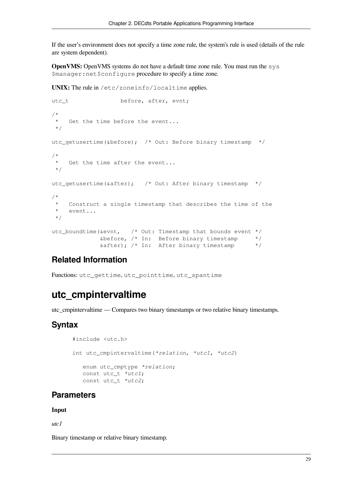If the user's environment does not specify a time zone rule, the system's rule is used (details of the rule are system dependent).

**OpenVMS:** OpenVMS systems do not have a default time zone rule. You must run the sys \$manager:net\$configure procedure to specify a time zone.

**UNIX:** The rule in /etc/zoneinfo/localtime applies.

```
utc t before, after, evnt;
/*
    Get the time before the event...
  */
utc_getusertime(&before); /* Out: Before binary timestamp */
/*
 * Get the time after the event...
 */
utc_getusertime(&after); /* Out: After binary timestamp */
/*
 * Construct a single timestamp that describes the time of the
  * event...
 */
utc_boundtime(&evnt, /* Out: Timestamp that bounds event */
              &before, /* In: Before binary timestamp */
             \deltaafter); /* In: After binary timestamp */
```
## **Related Information**

Functions: utc\_gettime, utc\_pointtime, utc\_spantime

## **utc\_cmpintervaltime**

utc\_cmpintervaltime — Compares two binary timestamps or two relative binary timestamps.

#### **Syntax**

```
 #include <utc.h>
 int utc_cmpintervaltime(*relation, *utc1, *utc2)
    enum utc_cmptype *relation;
    const utc_t *utc1;
    const utc_t *utc2;
```
#### **Parameters**

**Input**

*utc1*

Binary timestamp or relative binary timestamp.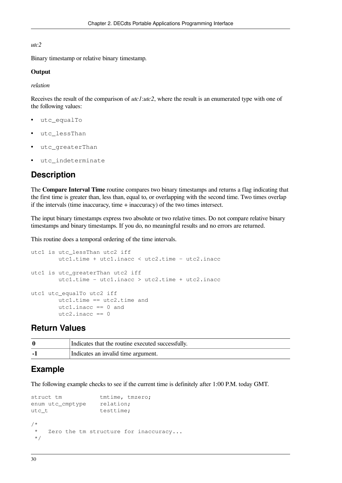#### *utc2*

Binary timestamp or relative binary timestamp.

#### **Output**

*relation*

Receives the result of the comparison of *utc1*:*utc2*, where the result is an enumerated type with one of the following values:

- utc\_equalTo
- utc\_lessThan
- utc\_greaterThan
- utc indeterminate

### **Description**

The **Compare Interval Time** routine compares two binary timestamps and returns a flag indicating that the first time is greater than, less than, equal to, or overlapping with the second time. Two times overlap if the intervals (time inaccuracy, time + inaccuracy) of the two times intersect.

The input binary timestamps express two absolute or two relative times. Do not compare relative binary timestamps and binary timestamps. If you do, no meaningful results and no errors are returned.

This routine does a temporal ordering of the time intervals.

```
utc1 is utc_lessThan utc2 iff
         utc1.time + utc1.inacc < utc2.time - utc2.inacc
utc1 is utc_greaterThan utc2 iff
         utc1.time - utc1.inacc > utc2.time + utc2.inacc
utc1 utc_equalTo utc2 iff
         utc1.time == utc2.time and
         utc1.inacc == 0 and
        utc2.inacc == 0
```
#### **Return Values**

| Indicates that the routine executed successfully. |
|---------------------------------------------------|
| Indicates an invalid time argument.               |

#### **Example**

The following example checks to see if the current time is definitely after 1:00 P.M. today GMT.

```
struct tm tmtime, tmzero;
enum utc_cmptype relation;
utc_t testtime;
/*
    Zero the tm structure for inaccuracy...
 */
```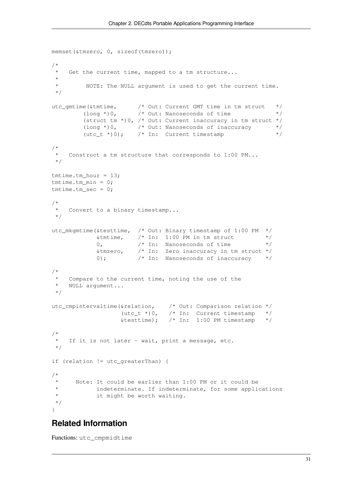```
memset(&tmzero, 0, sizeof(tmzero));
/*
 * Get the current time, mapped to a tm structure...
 *
  * NOTE: The NULL argument is used to get the current time.
  */
utc_gmtime(&tmtime, /* Out: Current GMT time in tm struct */
(long *)0, \hspace{1cm} /* Out: Nanoseconds of time \hspace{1cm} */
          (struct tm *)0, /* Out: Current inaccuracy in tm struct */
          (long *)0, /* Out: Nanoseconds of inaccuracy */
         (utc_t *)0); \frac{1}{2} /* In: Current timestamp */
/*
   Construct a tm structure that corresponds to 1:00 PM...
 */
tmtime.tm hour = 13;tmtime.tm_min = 0;
tmtime.tm_sec = 0;/*
 * Convert to a binary timestamp...
 */
utc_mkgmtime(&testtime, /* Out: Binary timestamp of 1:00 PM */<br> \frac{1}{2} &tmtime, /* In: 1:00 PM in tm struct */
                        \frac{1}{x} In: 1:00 PM in tm struct \frac{x}{x} 0, /* In: Nanoseconds of time */
 &tmzero, /* In: Zero inaccuracy in tm struct */
             0); \frac{1}{2} /* In: Nanoseconds of inaccuracy */
/*
 * Compare to the current time, noting the use of the
    NULL argument...
 */
utc_cmpintervaltime(&relation, /* Out: Comparison relation */
                   (\text{utc}_t * ) 0, /* In: Current timestamp */
                   \&text{testtime)}; /* In: 1:00 PM timestamp */
/*
 * If it is not later - wait, print a message, etc.
 */
if (relation != utc_greaterThan) {
/*
 * Note: It could be earlier than 1:00 PM or it could be
            indeterminate. If indeterminate, for some applications
  * it might be worth waiting.
  */
}
```
#### **Related Information**

Functions: utc\_cmpmidtime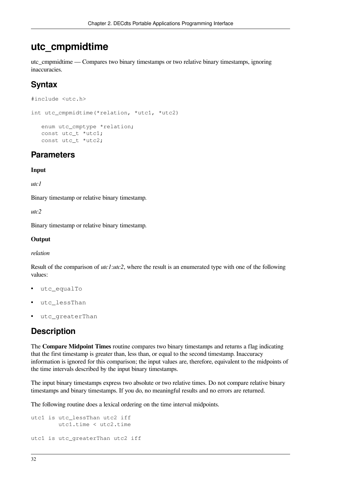# **utc\_cmpmidtime**

utc\_cmpmidtime — Compares two binary timestamps or two relative binary timestamps, ignoring inaccuracies.

### **Syntax**

#include <utc.h>

int utc cmpmidtime(\*relation, \*utc1, \*utc2) enum utc\_cmptype \*relation; const utc t \*utc1; const utc t \*utc2;

#### **Parameters**

#### **Input**

*utc1*

Binary timestamp or relative binary timestamp.

*utc2*

Binary timestamp or relative binary timestamp.

#### **Output**

*relation*

Result of the comparison of *utc1*:*utc2*, where the result is an enumerated type with one of the following values:

- utc\_equalTo
- utc lessThan
- utc\_greaterThan

### **Description**

The **Compare Midpoint Times** routine compares two binary timestamps and returns a flag indicating that the first timestamp is greater than, less than, or equal to the second timestamp. Inaccuracy information is ignored for this comparison; the input values are, therefore, equivalent to the midpoints of the time intervals described by the input binary timestamps.

The input binary timestamps express two absolute or two relative times. Do not compare relative binary timestamps and binary timestamps. If you do, no meaningful results and no errors are returned.

The following routine does a lexical ordering on the time interval midpoints.

```
utc1 is utc_lessThan utc2 iff
         utc1.time < utc2.time
utc1 is utc_greaterThan utc2 iff
```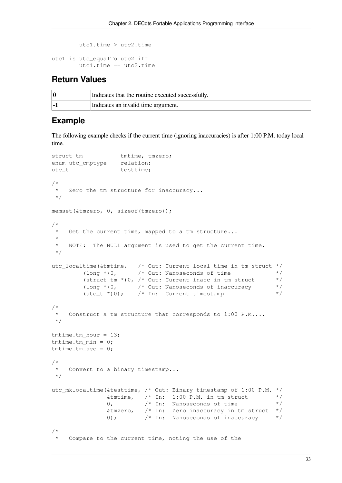```
 utc1.time > utc2.time
utc1 is utc_equalTo utc2 iff
         utc1.time == utc2.time
```
#### **Return Values**

| Indicates that the routine executed successfully. |
|---------------------------------------------------|
| Indicates an invalid time argument.               |

#### **Example**

The following example checks if the current time (ignoring inaccuracies) is after 1:00 P.M. today local time.

```
struct tm tmtime, tmzero;
enum utc_cmptype relation;
utc_t testtime;
/*
 * Zero the tm structure for inaccuracy...
 */
memset(&tmzero, 0, sizeof(tmzero));
/*
 * Get the current time, mapped to a tm structure...
 *
 * NOTE: The NULL argument is used to get the current time.
 */
utc_localtime(&tmtime, /* Out: Current local time in tm struct */
(long *)0, \hspace{1cm} /* Out: Nanoseconds of time \hspace{1cm} */
        (struct tm *) 0, /* Out: Current inacc in tm struct */
         (long *)0, /* Out: Nanoseconds of inaccuracy */
        (\text{utc}_t * ) 0); /* In: Current timestamp */
/*
   Construct a tm structure that corresponds to 1:00 P.M....
 */
tmtime.tm_hour = 13;
tmtime.tm_min = 0;
tmtime.tm_sec = 0;
/*
 * Convert to a binary timestamp...
 */
utc_mklocaltime(&testtime, /* Out: Binary timestamp of 1:00 P.M. */
               \text{atmtime,} /* In: 1:00 P.M. in tm struct */
               0, /* In: Nanoseconds of time */
                &tmzero, /* In: Zero inaccuracy in tm struct */
               0); \frac{1}{2} /* In: Nanoseconds of inaccuracy */
/*
    Compare to the current time, noting the use of the
```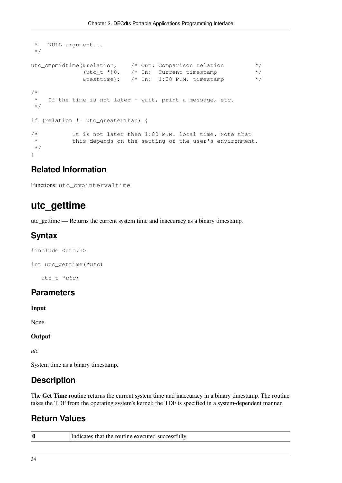```
 * NULL argument...
 */
utc_cmpmidtime(&relation, /* Out: Comparison relation */
              (utc_t *) 0, /* In: Current timestamp */
             \&text{testtime)}; /* In: 1:00 P.M. timestamp */
/*
 * If the time is not later - wait, print a message, etc.
  */
if (relation != utc_greaterThan) {
/* It is not later then 1:00 P.M. local time. Note that
           this depends on the setting of the user's environment.
 */
}
```
#### **Related Information**

Functions: utc\_cmpintervaltime

# **utc\_gettime**

utc\_gettime — Returns the current system time and inaccuracy as a binary timestamp.

## **Syntax**

```
#include <utc.h>
int utc_gettime(*utc)
    utc_t *utc;
```
### **Parameters**

**Input**

None.

**Output**

*utc*

System time as a binary timestamp.

# **Description**

The **Get Time** routine returns the current system time and inaccuracy in a binary timestamp. The routine takes the TDF from the operating system's kernel; the TDF is specified in a system-dependent manner.

### **Return Values**

| 0 | s that the routine executed successfully. |
|---|-------------------------------------------|
|   |                                           |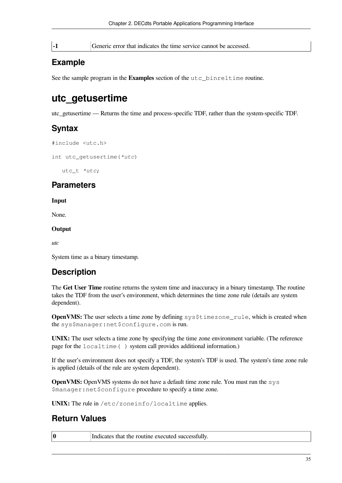**-1** Generic error that indicates the time service cannot be accessed.

## **Example**

See the sample program in the **Examples** section of the utc\_binreltime routine.

# **utc\_getusertime**

utc\_getusertime — Returns the time and process-specific TDF, rather than the system-specific TDF.

## **Syntax**

```
#include <utc.h>
```

```
int utc_getusertime(*utc)
```
utc\_t *\*utc*;

## **Parameters**

**Input**

None.

#### **Output**

*utc*

System time as a binary timestamp.

# **Description**

The **Get User Time** routine returns the system time and inaccuracy in a binary timestamp. The routine takes the TDF from the user's environment, which determines the time zone rule (details are system dependent).

**OpenVMS:** The user selects a time zone by defining sys\$timezone rule, which is created when the sys\$manager:net\$configure.com is run.

**UNIX:** The user selects a time zone by specifying the time zone environment variable. (The reference page for the localtime( ) system call provides additional information.)

If the user's environment does not specify a TDF, the system's TDF is used. The system's time zone rule is applied (details of the rule are system dependent).

**OpenVMS:** OpenVMS systems do not have a default time zone rule. You must run the sys \$manager:net\$configure procedure to specify a time zone.

**UNIX:** The rule in /etc/zoneinfo/localtime applies.

# **Return Values**

| Indicates that the routine executed successfully. |  |
|---------------------------------------------------|--|
|---------------------------------------------------|--|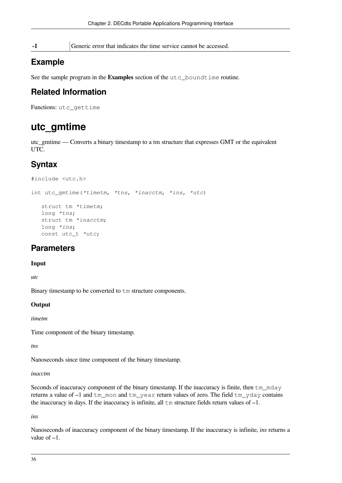**-1** Generic error that indicates the time service cannot be accessed.

#### **Example**

See the sample program in the **Examples** section of the utc\_boundtime routine.

# **Related Information**

Functions: utc\_gettime

# **utc\_gmtime**

utc\_gmtime — Converts a binary timestamp to a tm structure that expresses GMT or the equivalent UTC.

# **Syntax**

#include <utc.h>

int utc\_gmtime(*\*timetm, \*tns, \*inacctm, \*ins, \*utc*) struct tm *\*timetm*; long *\*tns*; struct tm *\*inacctm*; long *\*ins*; const utc\_t *\*utc*;

### **Parameters**

#### **Input**

*utc*

Binary timestamp to be converted to  $t$ m structure components.

#### **Output**

*timetm*

Time component of the binary timestamp.

*tns*

Nanoseconds since time component of the binary timestamp.

*inacctm*

Seconds of inaccuracy component of the binary timestamp. If the inaccuracy is finite, then  $\tan \text{mag}$ returns a value of –1 and tm\_mon and tm\_year return values of zero. The field tm\_yday contains the inaccuracy in days. If the inaccuracy is infinite, all  $t$ m structure fields return values of  $-1$ .

*ins*

Nanoseconds of inaccuracy component of the binary timestamp. If the inaccuracy is infinite, *ins* returns a value of  $-1$ .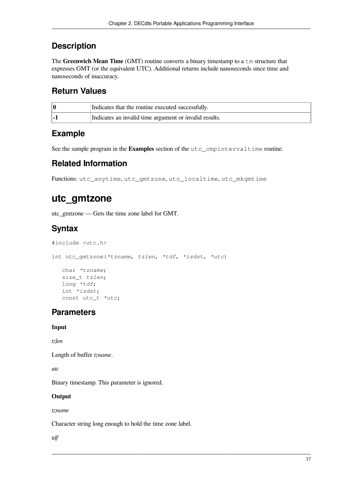# **Description**

The **Greenwich Mean Time** (GMT) routine converts a binary timestamp to a tm structure that expresses GMT (or the equivalent UTC). Additional returns include nanoseconds since time and nanoseconds of inaccuracy.

# **Return Values**

| Indicates that the routine executed successfully.      |
|--------------------------------------------------------|
| Indicates an invalid time argument or invalid results. |

# **Example**

See the sample program in the **Examples** section of the utc\_cmpintervaltime routine.

# **Related Information**

Functions: utc\_anytime, utc\_gmtzone, utc\_localtime, utc\_mkgmtime

# **utc\_gmtzone**

utc\_gmtzone — Gets the time zone label for GMT.

# **Syntax**

```
#include <utc.h>
int utc_gmtzone(*tzname, tzlen, *tdf, *isdst, *utc)
    char *tzname;
    size_t tzlen;
    long *tdf;
    int *isdst;
    const utc_t *utc;
```
## **Parameters**

#### **Input**

*tzlen*

Length of buffer *tzname*.

*utc*

Binary timestamp. This parameter is ignored.

#### **Output**

*tzname*

Character string long enough to hold the time zone label.

*tdf*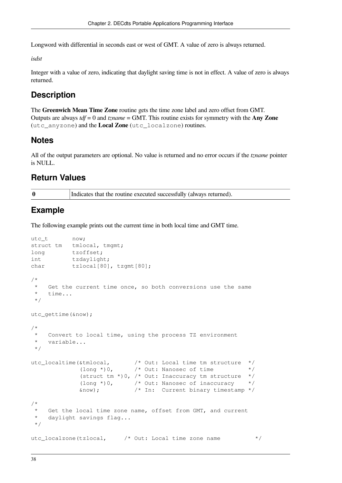Longword with differential in seconds east or west of GMT. A value of zero is always returned.

#### *isdst*

Integer with a value of zero, indicating that daylight saving time is not in effect. A value of zero is always returned.

#### **Description**

The **Greenwich Mean Time Zone** routine gets the time zone label and zero offset from GMT. Outputs are always *tdf* = 0 and *tzname* = GMT. This routine exists for symmetry with the **Any Zone** (utc\_anyzone) and the **Local Zone** (utc\_localzone) routines.

#### **Notes**

All of the output parameters are optional. No value is returned and no error occurs if the *tzname* pointer is NULL.

#### **Return Values**

**0** Indicates that the routine executed successfully (always returned).

#### **Example**

The following example prints out the current time in both local time and GMT time.

```
utc_t now;
struct tm tmlocal, tmgmt;
long tzoffset;
int tzdaylight;
char tzlocal[80], tzgmt[80];
/*
    Get the current time once, so both conversions use the same
  * time...
 */
utc_gettime(&now);
/*
    Convert to local time, using the process TZ environment
  * variable...
 */
utc_localtime(&tmlocal, /* Out: Local time tm structure */
(\text{long }*)0, \qquad /* Out: Nanosec of time \qquad */
             (struct tm *) 0, /* Out: Inaccuracy tm structure */
              (long *)0, /* Out: Nanosec of inaccuracy */
             &now); /* In: Current binary timestamp */
/*
    Get the local time zone name, offset from GMT, and current
    daylight savings flag...
 */
utc_localzone(tzlocal, /* Out: Local time zone name */
```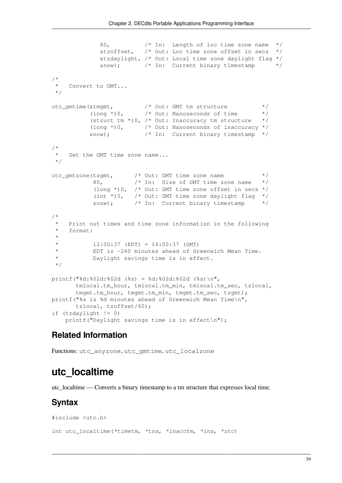```
 80, /* In: Length of loc time zone name */
              &tzoffset, /* Out: Loc time zone offset in secs */
              &tzdaylight, /* Out: Local time zone daylight flag */
              &now); /* In: Current binary timestamp */
/*
    Convert to GMT...
  */
utc_gmtime(&tmgmt, \frac{1}{2} /* Out: GMT tm structure */
           (long \star) 0, \quad /\star Out: Nanoseconds of time \quad \star/
           (struct tm *) 0, /* Out: Inaccuracy tm structure */
            (long *)0, /* Out: Nanoseconds of inaccuracy */
           &now); /* In: Current binary timestamp */
/*
    Get the GMT time zone name...
  */
utc_gmtzone(tzgmt, /* Out: GMT time zone name */
            80, /* In: Size of GMT time zone name */
            (long *)0, /* Out: GMT time zone offset in secs */
           (int \star) 0, \prime\star Out: GMT time zone daylight flag \star/ &now); /* In: Current binary timestamp */
/*
  * Print out times and time zone information in the following
    format:
 *
           12:00:37 (EDT) = 16:00:37 (GMT)
           EDT is -240 minutes ahead of Greenwich Mean Time.
           Daylight savings time is in effect.
  */
printf("%d:%02d:%02d (%s) = %d:%02d:%02d (%s)\n",
       tmlocal.tm_hour, tmlocal.tm_min, tmlocal.tm_sec, tzlocal,
      tmgmt.tm_hour, tmgmt.tm_min, tmgmt.tm_sec, tzgmt);
printf("%s is %d minutes ahead of Greenwich Mean Time\n",
       tzlocal, tzoffset/60);
if (tzdaylight != 0)
   printf("Daylight savings time is in effect\n");
```
#### **Related Information**

Functions: utc\_anyzone, utc\_gmtime, utc\_localzone

# **utc\_localtime**

utc\_localtime — Converts a binary timestamp to a tm structure that expresses local time.

#### **Syntax**

```
#include <utc.h>
int utc_localtime(*timetm, *tns, *inacctm, *ins, *utc)
```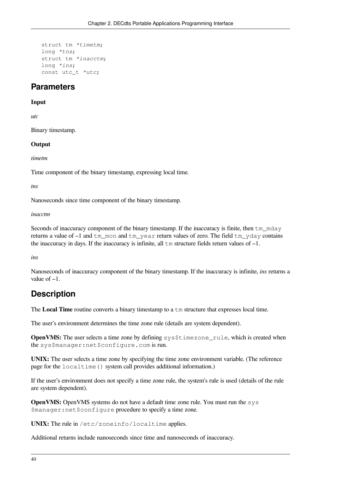```
 struct tm *timetm;
 long *tns;
 struct tm *inacctm;
 long *ins;
 const utc_t *utc;
```
#### **Parameters**

#### **Input**

*utc*

Binary timestamp.

#### **Output**

*timetm*

Time component of the binary timestamp, expressing local time.

*tns*

Nanoseconds since time component of the binary timestamp.

*inacctm*

Seconds of inaccuracy component of the binary timestamp. If the inaccuracy is finite, then tm mday returns a value of –1 and tm\_mon and tm\_year return values of zero. The field tm\_yday contains the inaccuracy in days. If the inaccuracy is infinite, all  $t$ m structure fields return values of  $-1$ .

*ins*

Nanoseconds of inaccuracy component of the binary timestamp. If the inaccuracy is infinite, *ins* returns a value of –1.

# **Description**

The **Local Time** routine converts a binary timestamp to a  $t$ m structure that expresses local time.

The user's environment determines the time zone rule (details are system dependent).

**OpenVMS:** The user selects a time zone by defining sys\$timezone\_rule, which is created when the sys\$manager:net\$configure.com is run.

**UNIX:** The user selects a time zone by specifying the time zone environment variable. (The reference page for the localtime() system call provides additional information.)

If the user's environment does not specify a time zone rule, the system's rule is used (details of the rule are system dependent).

**OpenVMS:** OpenVMS systems do not have a default time zone rule. You must run the sys \$manager:net\$configure procedure to specify a time zone.

**UNIX:** The rule in /etc/zoneinfo/localtime applies.

Additional returns include nanoseconds since time and nanoseconds of inaccuracy.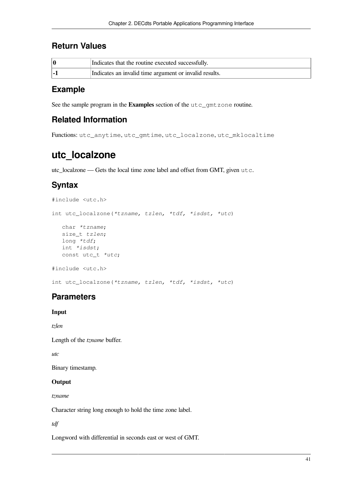### **Return Values**

| Indicates that the routine executed successfully.      |
|--------------------------------------------------------|
| Indicates an invalid time argument or invalid results. |

### **Example**

See the sample program in the **Examples** section of the utc\_gmtzone routine.

# **Related Information**

Functions: utc\_anytime, utc\_gmtime, utc\_localzone, utc\_mklocaltime

# **utc\_localzone**

utc\_localzone — Gets the local time zone label and offset from GMT, given utc.

# **Syntax**

```
#include <utc.h>
int utc_localzone(*tzname, tzlen, *tdf, *isdst, *utc)
   char *tzname;
   size_t tzlen;
    long *tdf;
    int *isdst;
    const utc_t *utc;
#include <utc.h>
int utc_localzone(*tzname, tzlen, *tdf, *isdst, *utc)
```
# **Parameters**

#### **Input**

*tzlen*

Length of the *tzname* buffer.

*utc*

Binary timestamp.

#### **Output**

*tzname*

Character string long enough to hold the time zone label.

#### *tdf*

Longword with differential in seconds east or west of GMT.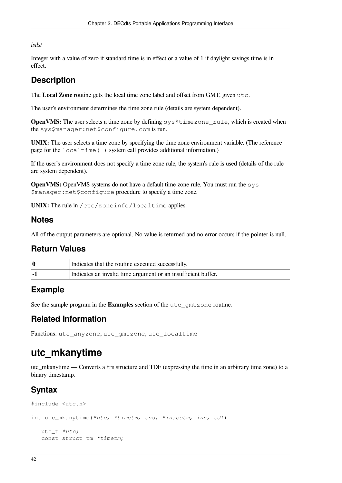*isdst*

Integer with a value of zero if standard time is in effect or a value of 1 if daylight savings time is in effect.

## **Description**

The **Local Zone** routine gets the local time zone label and offset from GMT, given utc.

The user's environment determines the time zone rule (details are system dependent).

**OpenVMS:** The user selects a time zone by defining sys\$timezone\_rule, which is created when the sys\$manager:net\$configure.com is run.

**UNIX:** The user selects a time zone by specifying the time zone environment variable. (The reference page for the localtime( ) system call provides additional information.)

If the user's environment does not specify a time zone rule, the system's rule is used (details of the rule are system dependent).

**OpenVMS:** OpenVMS systems do not have a default time zone rule. You must run the sys \$manager:net\$configure procedure to specify a time zone.

**UNIX:** The rule in /etc/zoneinfo/localtime applies.

#### **Notes**

All of the output parameters are optional. No value is returned and no error occurs if the pointer is null.

#### **Return Values**

| Indicates that the routine executed successfully.             |
|---------------------------------------------------------------|
| Indicates an invalid time argument or an insufficient buffer. |

### **Example**

See the sample program in the **Examples** section of the utc\_gmtzone routine.

### **Related Information**

Functions: utc\_anyzone, utc\_gmtzone, utc\_localtime

# **utc\_mkanytime**

utc\_mkanytime — Converts a tm structure and TDF (expressing the time in an arbitrary time zone) to a binary timestamp.

# **Syntax**

```
#include <utc.h>
int utc_mkanytime(*utc, *timetm, tns, *inacctm, ins, tdf)
    utc_t *utc;
    const struct tm *timetm;
```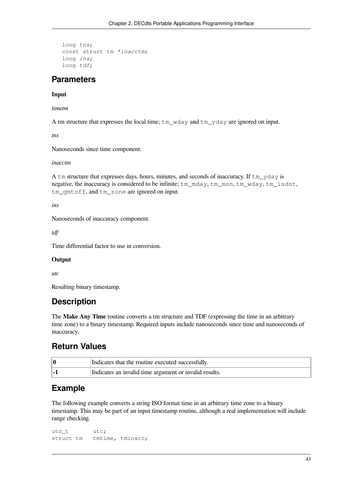```
 long tns;
 const struct tm *inacctm;
 long ins;
 long tdf;
```
#### **Parameters**

#### **Input**

*timetm*

A tm structure that expresses the local time; tm\_wday and tm\_yday are ignored on input.

*tns*

Nanoseconds since time component.

*inacctm*

A tm structure that expresses days, hours, minutes, and seconds of inaccuracy. If tm\_yday is negative, the inaccuracy is considered to be infinite; tm\_mday, tm\_mon, tm\_wday, tm\_isdst, tm\_gmtoff, and tm\_zone are ignored on input.

*ins*

Nanoseconds of inaccuracy component.

*tdf*

Time differential factor to use in conversion.

#### **Output**

*utc*

Resulting binary timestamp.

# **Description**

The **Make Any Time** routine converts a tm structure and TDF (expressing the time in an arbitrary time zone) to a binary timestamp. Required inputs include nanoseconds since time and nanoseconds of inaccuracy.

### **Return Values**

| Indicates that the routine executed successfully.      |
|--------------------------------------------------------|
| Indicates an invalid time argument or invalid results. |

# **Example**

The following example converts a string ISO format time in an arbitrary time zone to a binary timestamp. This may be part of an input timestamp routine, although a real implementation will include range checking.

utc t utc; struct tm tmtime, tminacc;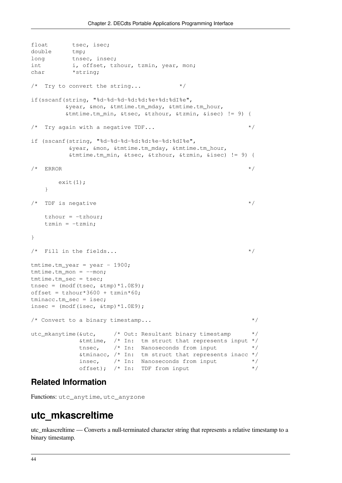```
float tsec, isec;
double tmp;
long tnsec, insec;
int i, offset, tzhour, tzmin, year, mon;
char *string;
/* Try to convert the string... *if(sscanf(string, "%d-%d-%d-%d:%d:%e+%d:%dI%e",
         &year, &mon, &tmtime.tm_mday, &tmtime.tm_hour,
         &tmtime.tm_min, &tsec, &tzhour, &tzmin, &isec) != 9) {
\frac{1}{x} Try again with a negative TDF...
if (sscanf(string, "%d-%d-%d-%d:%d:%e-%d:%dI%e",
          &year, &mon, &tmtime.tm_mday, &tmtime.tm_hour,
          &tmtime.tm_min, &tsec, &tzhour, &tzmin, &isec) != 9) {
\frac{1}{2} ERROR \frac{1}{2} ERROR
      ext(1); }
\frac{1}{2} TDF is negative \frac{1}{2} tzhour = -tzhour;
   \tanh = -\tan \sin x}
\frac{1}{x} Fill in the fields...
tmtime.tm_year = year - 1900;
tmtime.tm mon = --mon;
tmtime.tm_sec = tsec;
tnsec = (modf(tsec, \delta tmp)*1.0E9);offset = tzhour*3600 + tzmin*60;tminacc.tm sec = isec;
insec = (modf(isec, \&tmp)*1.0E9);\frac{1}{x} Convert to a binary timestamp... \frac{x}{x}utc_mkanytime(&utc, /* Out: Resultant binary timestamp */
             &tmtime, /* In: tm struct that represents input */
            tnsec, /* In: Nanoseconds from input */
            \text{atminacc}, /* In: tm struct that represents inacc */
            insec, /* In: Nanoseconds from input *offset); /* In: TDF from input * /
```
#### **Related Information**

Functions: utc\_anytime, utc\_anyzone

# **utc\_mkascreltime**

utc\_mkascreltime — Converts a null-terminated character string that represents a relative timestamp to a binary timestamp.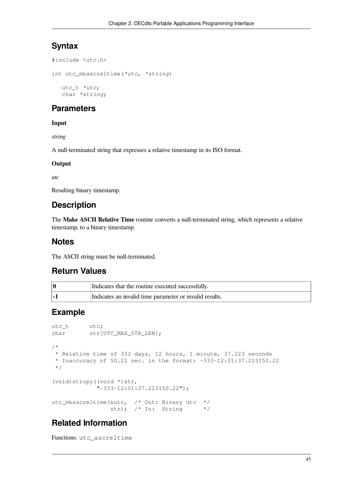# **Syntax**

```
#include <utc.h>
```

```
int utc_mkascreltime(*utc, *string)
```
 utc\_t *\*utc*; char *\*string*;

### **Parameters**

#### **Input**

*string*

A null-terminated string that expresses a relative timestamp in its ISO format.

#### **Output**

*utc*

Resulting binary timestamp.

# **Description**

The **Make ASCII Relative Time** routine converts a null-terminated string, which represents a relative timestamp, to a binary timestamp.

### **Notes**

The ASCII string must be null-terminated.

# **Return Values**

|  | Indicates that the routine executed successfully.       |
|--|---------------------------------------------------------|
|  | Indicates an invalid time parameter or invalid results. |

### **Example**

```
utc_t utc;
char str[UTC_MAX_STR_LEN];
/*
 * Relative time of 333 days, 12 hours, 1 minute, 37.223 seconds
 * Inaccuracy of 50.22 sec. in the format: -333-12:01:37.223I50.22
 */
(void)strcpy((void *)str,
             "-333-12:01:37.223I50.22");
utc_mkascreltime(&utc, /* Out: Binary utc */
                str); /* In: String */
```
# **Related Information**

Functions: utc\_ascreltime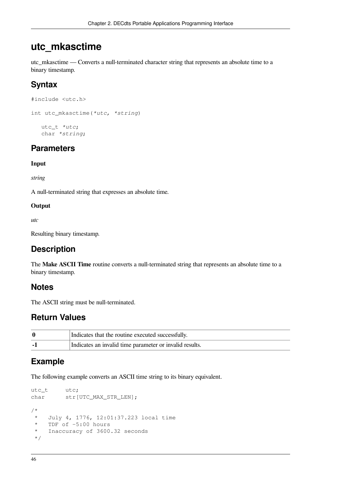# **utc\_mkasctime**

utc\_mkasctime — Converts a null-terminated character string that represents an absolute time to a binary timestamp.

# **Syntax**

#include <utc.h>

```
int utc_mkasctime(*utc, *string)
    utc_t *utc;
```
char *\*string*;

## **Parameters**

#### **Input**

*string*

A null-terminated string that expresses an absolute time.

#### **Output**

*utc*

Resulting binary timestamp.

# **Description**

The **Make ASCII Time** routine converts a null-terminated string that represents an absolute time to a binary timestamp.

### **Notes**

The ASCII string must be null-terminated.

### **Return Values**

| Indicates that the routine executed successfully.       |
|---------------------------------------------------------|
| Indicates an invalid time parameter or invalid results. |

### **Example**

The following example converts an ASCII time string to its binary equivalent.

```
utc_t utc;
char str[UTC_MAX_STR_LEN];
/*
  * July 4, 1776, 12:01:37.223 local time
 * TDF of -5:00 hours
 * Inaccuracy of 3600.32 seconds
 */
```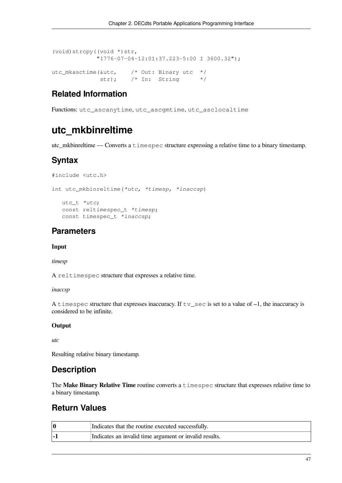```
(void)strcpy((void *)str,
             "1776-07-04-12:01:37.223-5:00 I 3600.32");
utc_mkasctime(&utc, /* Out: Binary utc */
             str); /* In: String */
```
# **Related Information**

Functions: utc\_ascanytime, utc\_ascgmtime, utc\_asclocaltime

# **utc\_mkbinreltime**

utc\_mkbinreltime — Converts a timespec structure expressing a relative time to a binary timestamp.

### **Syntax**

```
#include <utc.h>
int utc_mkbinreltime(*utc, *timesp, *inaccsp)
   utc_t *utc;
    const reltimespec_t *timesp;
    const timespec_t *inaccsp;
```
#### **Parameters**

#### **Input**

*timesp*

A reltimespec structure that expresses a relative time.

#### *inaccsp*

A timespec structure that expresses inaccuracy. If  $tv\_sec$  is set to a value of  $-1$ , the inaccuracy is considered to be infinite.

#### **Output**

*utc*

Resulting relative binary timestamp.

#### **Description**

The **Make Binary Relative Time** routine converts a timespec structure that expresses relative time to a binary timestamp.

#### **Return Values**

| Indicates that the routine executed successfully.      |
|--------------------------------------------------------|
| Indicates an invalid time argument or invalid results. |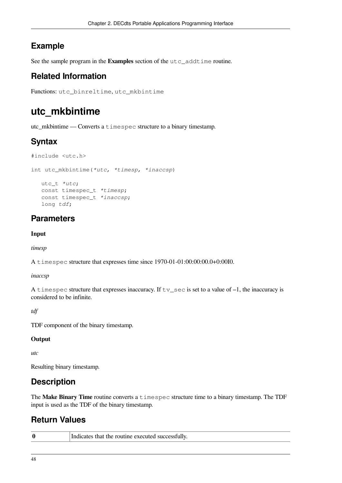# **Example**

See the sample program in the **Examples** section of the utc\_addtime routine.

### **Related Information**

```
Functions: utc_binreltime, utc_mkbintime
```
# **utc\_mkbintime**

utc\_mkbintime — Converts a timespec structure to a binary timestamp.

## **Syntax**

```
#include <utc.h>
int utc_mkbintime(*utc, *timesp, *inaccsp)
    utc_t *utc;
    const timespec_t *timesp;
    const timespec_t *inaccsp;
    long tdf;
```
## **Parameters**

#### **Input**

*timesp*

A timespec structure that expresses time since 1970-01-01:00:00:00.0+0:00I0.

#### *inaccsp*

A timespec structure that expresses inaccuracy. If  $tv$  sec is set to a value of  $-1$ , the inaccuracy is considered to be infinite.

*tdf*

TDF component of the binary timestamp.

#### **Output**

*utc*

Resulting binary timestamp.

### **Description**

The **Make Binary Time** routine converts a timespec structure time to a binary timestamp. The TDF input is used as the TDF of the binary timestamp.

### **Return Values**

| 0 | Indicates that the routine executed successfully |
|---|--------------------------------------------------|
|   |                                                  |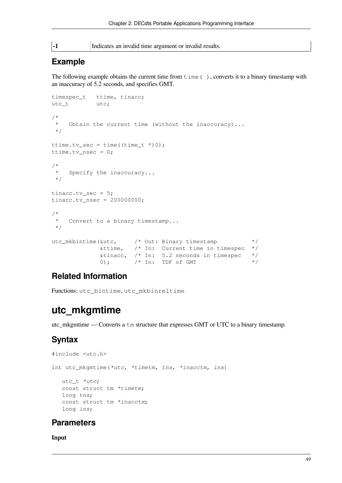**-1** Indicates an invalid time argument or invalid results.

#### **Example**

The following example obtains the current time from time( ), converts it to a binary timestamp with an inaccuracy of 5.2 seconds, and specifies GMT.

```
timespec_t ttime, tinacc;
utc t utc;
/*
 * Obtain the current time (without the inaccuracy)...
  */
ttime.tv sec = time((time t *)0);
ttime.tv nsec = 0;
/*
  * Specify the inaccuracy...
  */
tinacc.tv sec = 5;
tinacc.tv nsec = 200000000;
/*
 * Convert to a binary timestamp...
  */
utc mkbintime(\text{Autc}, /* Out: Binary timestamp */
               &ttime, /* In: Current time in timespec */
              &tinacc, /* In: 5.2 seconds in timespec */<br>0): /* In: TDF of GMT */(0): /* In: TDF of GMT
```
#### **Related Information**

Functions: utc\_bintime, utc\_mkbinreltime

# **utc\_mkgmtime**

utc\_mkgmtime — Converts a tm structure that expresses GMT or UTC to a binary timestamp.

#### **Syntax**

```
#include <utc.h>
int utc_mkgmtime(*utc, *timetm, tns, *inacctm, ins)
   utc_t *utc;
    const struct tm *timetm;
    long tns;
    const struct tm *inacctm;
    long ins;
```
#### **Parameters**

**Input**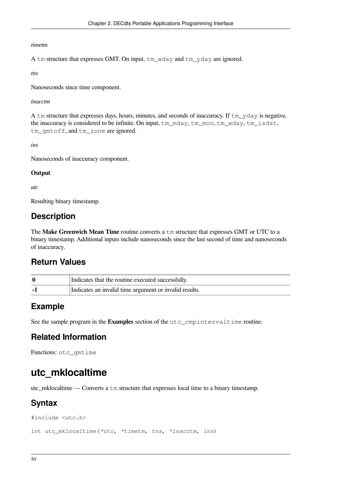#### *timetm*

A tm structure that expresses GMT. On input, tm\_wday and tm\_yday are ignored.

*tns*

Nanoseconds since time component.

#### *inacctm*

A tm structure that expresses days, hours, minutes, and seconds of inaccuracy. If  $tm_y$  yday is negative, the inaccuracy is considered to be infinite. On input, tm\_mday, tm\_mon, tm\_wday, tm\_isdst, tm\_gmtoff, and tm\_zone are ignored.

*ins*

Nanoseconds of inaccuracy component.

#### **Output**

*utc*

Resulting binary timestamp.

### **Description**

The **Make Greenwich Mean Time** routine converts a tm structure that expresses GMT or UTC to a binary timestamp. Additional inputs include nanoseconds since the last second of time and nanoseconds of inaccuracy.

#### **Return Values**

| 0  | Indicates that the routine executed successfully.      |
|----|--------------------------------------------------------|
| L. | Indicates an invalid time argument or invalid results. |

### **Example**

See the sample program in the **Examples** section of the utc\_cmpintervaltime routine.

### **Related Information**

Functions: utc\_gmtime

# **utc\_mklocaltime**

utc\_mklocaltime — Converts a tm structure that expresses local time to a binary timestamp.

# **Syntax**

```
#include <utc.h>
```
int utc\_mklocaltime(*\*utc, \*timetm, tns, \*inacctm, ins*)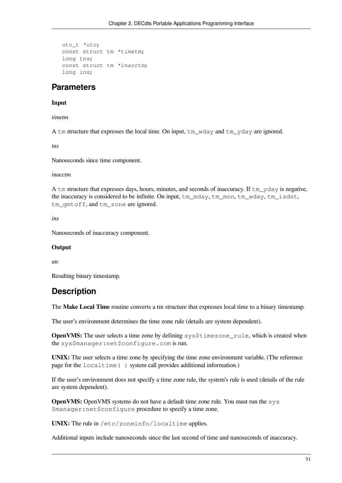```
 utc_t *utc;
 const struct tm *timetm;
 long tns;
 const struct tm *inacctm;
 long ins;
```
#### **Parameters**

#### **Input**

*timetm*

A tm structure that expresses the local time. On input,  $tm_w$  wday and  $tm_y$  are ignored.

*tns*

Nanoseconds since time component.

#### *inacctm*

A tm structure that expresses days, hours, minutes, and seconds of inaccuracy. If  $tm_yday$  is negative, the inaccuracy is considered to be infinite. On input, tm\_mday, tm\_mon, tm\_wday, tm\_isdst, tm qmtoff, and tm zone are ignored.

*ins*

Nanoseconds of inaccuracy component.

#### **Output**

*utc*

Resulting binary timestamp.

#### **Description**

The **Make Local Time** routine converts a tm structure that expresses local time to a binary timestamp.

The user's environment determines the time zone rule (details are system dependent).

**OpenVMS:** The user selects a time zone by defining sys\$timezone\_rule, which is created when the sys\$manager:net\$configure.com is run.

**UNIX:** The user selects a time zone by specifying the time zone environment variable. (The reference page for the localtime( ) system call provides additional information.)

If the user's environment does not specify a time zone rule, the system's rule is used (details of the rule are system dependent).

**OpenVMS:** OpenVMS systems do not have a default time zone rule. You must run the sys \$manager:net\$configure procedure to specify a time zone.

**UNIX:** The rule in /etc/zoneinfo/localtime applies.

Additional inputs include nanoseconds since the last second of time and nanoseconds of inaccuracy.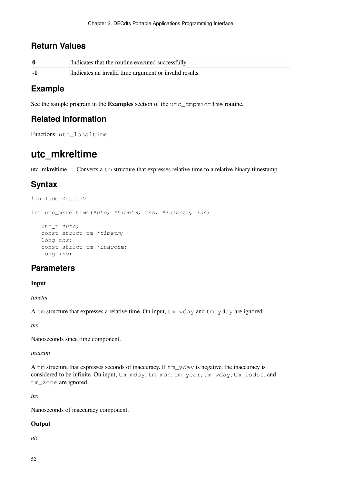#### **Return Values**

| $\overline{\mathbf{0}}$ | Indicates that the routine executed successfully.      |
|-------------------------|--------------------------------------------------------|
|                         | Indicates an invalid time argument or invalid results. |

### **Example**

See the sample program in the **Examples** section of the utc\_cmpmidtime routine.

# **Related Information**

Functions: utc\_localtime

# **utc\_mkreltime**

utc\_mkreltime — Converts a tm structure that expresses relative time to a relative binary timestamp.

# **Syntax**

#include <utc.h>

```
int utc_mkreltime(*utc, *timetm, tns, *inacctm, ins)
```

```
 utc_t *utc;
 const struct tm *timetm;
 long tns;
 const struct tm *inacctm;
 long ins;
```
### **Parameters**

#### **Input**

*timetm*

A tm structure that expresses a relative time. On input, tm\_wday and tm\_yday are ignored.

*tns*

Nanoseconds since time component.

*inacctm*

A tm structure that expresses seconds of inaccuracy. If tm\_yday is negative, the inaccuracy is considered to be infinite. On input, tm\_mday, tm\_mon, tm\_year, tm\_wday, tm\_isdst, and tm\_zone are ignored.

*ins*

Nanoseconds of inaccuracy component.

#### **Output**

*utc*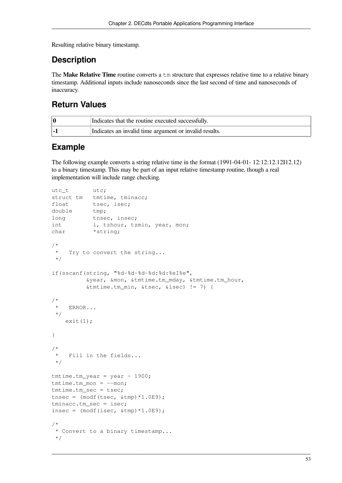Resulting relative binary timestamp.

#### **Description**

The **Make Relative Time** routine converts a tm structure that expresses relative time to a relative binary timestamp. Additional inputs include nanoseconds since the last second of time and nanoseconds of inaccuracy.

### **Return Values**

| Indicates that the routine executed successfully.      |
|--------------------------------------------------------|
| Indicates an invalid time argument or invalid results. |

### **Example**

The following example converts a string relative time in the format (1991-04-01- 12:12:12.12I12.12) to a binary timestamp. This may be part of an input relative timestamp routine, though a real implementation will include range checking.

```
utc_t utc;
struct tm tmtime, tminacc;
float tsec, isec;
double tmp;
long tnsec, insec;
int i, tzhour, tzmin, year, mon;
char *string;
/*
 * Try to convert the string...
 */
if(sscanf(string, "%d-%d-%d-%d:%d:%eI%e",
          &year, &mon, &tmtime.tm_mday, &tmtime.tm_hour,
         \&tmtime.tm min, \&tsec, \&isec) != 7) {
/*
  * ERROR...
  */
    exit(1);
}
/*
 * Fill in the fields...
 */
tmtime.tm_year = year - 1900;
tmtime.tm_mon = --mon;
tmtime.tm_sec = tsec;
tnsec = (modf(tsec, \&tmp)*1.0E9);tminacc.tm_sec = isec;
insec = (mod f(isec, \&tmp)*1.0E9);/*
  * Convert to a binary timestamp...
  */
```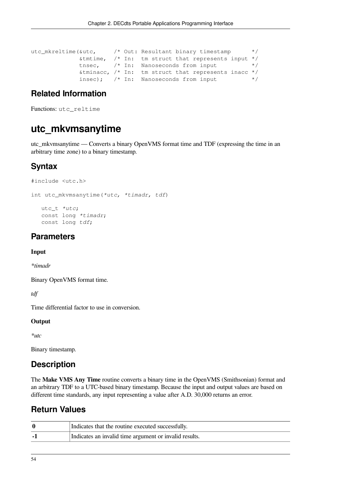```
utc_mkreltime(&utc, /* Out: Resultant binary timestamp */
             &tmtime, /* In: tm struct that represents input */
             tnsec, /* In: Nanoseconds from input */
             \text{tminacc}, /* In: tm struct that represents inacc */
             insec); \frac{1}{2} /* In: Nanoseconds from input */
```
## **Related Information**

Functions: utc\_reltime

# **utc\_mkvmsanytime**

utc\_mkvmsanytime — Converts a binary OpenVMS format time and TDF (expressing the time in an arbitrary time zone) to a binary timestamp.

### **Syntax**

#include <utc.h>

int utc\_mkvmsanytime(*\*utc, \*timadr, tdf*)

```
 utc_t *utc;
 const long *timadr;
 const long tdf;
```
### **Parameters**

#### **Input**

*\*timadr*

Binary OpenVMS format time.

*tdf*

Time differential factor to use in conversion.

#### **Output**

*\*utc*

Binary timestamp.

### **Description**

The **Make VMS Any Time** routine converts a binary time in the OpenVMS (Smithsonian) format and an arbitrary TDF to a UTC-based binary timestamp. Because the input and output values are based on different time standards, any input representing a value after A.D. 30,000 returns an error.

### **Return Values**

| Indicates that the routine executed successfully.      |
|--------------------------------------------------------|
| Indicates an invalid time argument or invalid results. |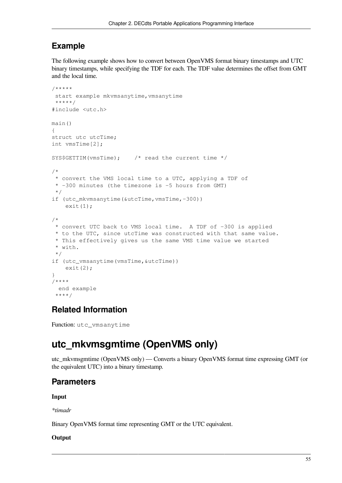# **Example**

The following example shows how to convert between OpenVMS format binary timestamps and UTC binary timestamps, while specifying the TDF for each. The TDF value determines the offset from GMT and the local time.

```
/*****
start example mkvmsanytime, vmsanytime
  *****/
#include <utc.h>
main()
{
struct utc utcTime;
int vmsTime[2];
SYS$GETTIM(vmsTime); /* read the current time */
/*
 * convert the VMS local time to a UTC, applying a TDF of
 * -300 minutes (the timezone is -5 hours from GMT)
  */
if (utc_mkvmsanytime(&utcTime,vmsTime,-300))
    ext(1);/*
  * convert UTC back to VMS local time. A TDF of -300 is applied
  * to the UTC, since utcTime was constructed with that same value.
  * This effectively gives us the same VMS time value we started
  * with.
  */
if (utc_vmsanytime(vmsTime,&utcTime))
    exit(2);
}
/****
  end example
  ****/
```
# **Related Information**

Function: utc\_vmsanytime

# **utc\_mkvmsgmtime (OpenVMS only)**

utc\_mkvmsgmtime (OpenVMS only) — Converts a binary OpenVMS format time expressing GMT (or the equivalent UTC) into a binary timestamp.

#### **Parameters**

**Input**

*\*timadr*

Binary OpenVMS format time representing GMT or the UTC equivalent.

#### **Output**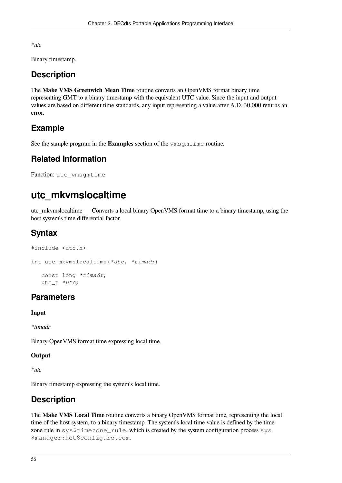*\*utc*

Binary timestamp.

# **Description**

The **Make VMS Greenwich Mean Time** routine converts an OpenVMS format binary time representing GMT to a binary timestamp with the equivalent UTC value. Since the input and output values are based on different time standards, any input representing a value after A.D. 30,000 returns an error.

# **Example**

See the sample program in the **Examples** section of the vmsqmtime routine.

# **Related Information**

Function: utc\_vmsgmtime

# **utc\_mkvmslocaltime**

utc\_mkvmslocaltime — Converts a local binary OpenVMS format time to a binary timestamp, using the host system's time differential factor.

# **Syntax**

```
#include <utc.h>
int utc_mkvmslocaltime(*utc, *timadr)
    const long *timadr;
    utc_t *utc;
```
# **Parameters**

#### **Input**

*\*timadr*

Binary OpenVMS format time expressing local time.

#### **Output**

*\*utc*

Binary timestamp expressing the system's local time.

# **Description**

The **Make VMS Local Time** routine converts a binary OpenVMS format time, representing the local time of the host system, to a binary timestamp. The system's local time value is defined by the time zone rule in sys\$timezone\_rule, which is created by the system configuration process sys \$manager:net\$configure.com.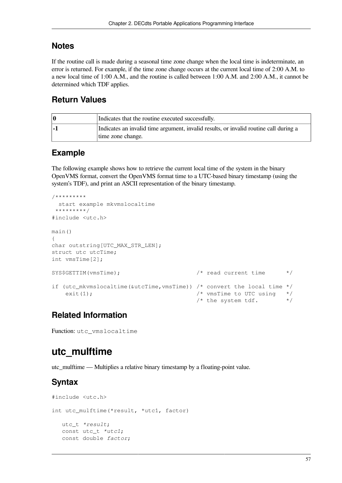#### **Notes**

If the routine call is made during a seasonal time zone change when the local time is indeterminate, an error is returned. For example, if the time zone change occurs at the current local time of 2:00 A.M. to a new local time of 1:00 A.M., and the routine is called between 1:00 A.M. and 2:00 A.M., it cannot be determined which TDF applies.

## **Return Values**

| 10  | Indicates that the routine executed successfully.                                                          |
|-----|------------------------------------------------------------------------------------------------------------|
| I۰I | Indicates an invalid time argument, invalid results, or invalid routine call during a<br>time zone change. |

#### **Example**

The following example shows how to retrieve the current local time of the system in the binary OpenVMS format, convert the OpenVMS format time to a UTC-based binary timestamp (using the system's TDF), and print an ASCII representation of the binary timestamp.

```
/*********
  start example mkvmslocaltime
  *********/
#include <utc.h>
main()
{
char outstring[UTC_MAX_STR_LEN];
struct utc utcTime;
int vmsTime[2];
SYS$GETTIM(vmsTime); \frac{1}{2} /* read current time \frac{1}{2}if (utc_mkvmslocaltime(&utcTime,vmsTime)) /* convert the local time */
   exit(1); \frac{1}{2} /* vmsTime to UTC using */
                                        /* the system tdf. */
```
### **Related Information**

Function: utc\_vmslocaltime

# **utc\_mulftime**

utc\_mulftime — Multiplies a relative binary timestamp by a floating-point value.

### **Syntax**

```
#include <utc.h>
int utc_mulftime(*result, *utc1, factor)
    utc_t *result;
    const utc_t *utc1;
    const double factor;
```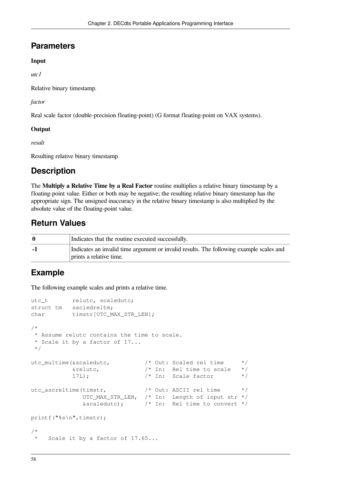#### **Parameters**

#### **Input**

*utc1*

Relative binary timestamp.

#### *factor*

Real scale factor (double-precision floating-point) (G format floating-point on VAX systems).

#### **Output**

*result*

Resulting relative binary timestamp.

### **Description**

The **Multiply a Relative Time by a Real Factor** routine multiplies a relative binary timestamp by a floating-point value. Either or both may be negative; the resulting relative binary timestamp has the appropriate sign. The unsigned inaccuracy in the relative binary timestamp is also multiplied by the absolute value of the floating-point value.

## **Return Values**

|    | Indicates that the routine executed successfully.                                                                  |
|----|--------------------------------------------------------------------------------------------------------------------|
| L٠ | Indicates an invalid time argument or invalid results. The following example scales and<br>prints a relative time. |

# **Example**

The following example scales and prints a relative time.

```
utc_t relutc, scaledutc;
struct tm sacledreltm;
char timstr[UTC_MAX_STR_LEN];
/*
  * Assume relutc contains the time to scale.
 * Scale it by a factor of 17...
 */
utc multime(&scaledutc, /* Out: Scaled rel time */
            &relutc, /* In: Rel time to scale */
           17L); \frac{1}{\sqrt{2}} /* In: Scale factor \frac{1}{\sqrt{2}}utc_ascreltime(timstr, /* Out: ASCII rel time */
              UTC_MAX_STR_LEN, /* In: Length of input str */
              &scaledutc); /* In: Rel time to convert */
printf("%s\n",timstr);
/*
    Scale it by a factor of 17.65...
```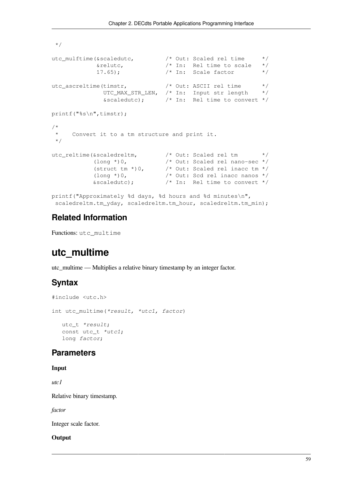```
 */
utc_mulftime(&scaledutc, \frac{1}{2} /* Out: Scaled rel time */
            \text{``reluto,} /* In: Rel time to scale */<br>17.65): /* In: Scale factor */
            17.65); / \uparrow In: Scale factor
utc_ascreltime(timstr, \frac{1}{2} /* Out: ASCII rel time */
 UTC_MAX_STR_LEN, /* In: Input str length */
 &scaledutc); /* In: Rel time to convert */
printf("%s\n",timstr);
/*
  * Convert it to a tm structure and print it.
  */
utc_reltime(&scaledreltm, \frac{1}{2} /* Out: Scaled rel tm */
            (long *)0, /* Out: Scaled rel nano-sec */
           (struct tm *) 0, /* Out: Scaled rel inacc tm */
           (long *) 0, /* Out: Scd rel inacc nanos */ &scaledutc); /* In: Rel time to convert */
printf("Approximately %d days, %d hours and %d minutes\n",
```
scaledreltm.tm\_yday, scaledreltm.tm\_hour, scaledreltm.tm\_min);

#### **Related Information**

Functions: utc\_multime

# **utc\_multime**

utc\_multime — Multiplies a relative binary timestamp by an integer factor.

#### **Syntax**

```
#include <utc.h>
int utc_multime(*result, *utc1, factor)
    utc_t *result;
    const utc_t *utc1;
    long factor;
```
#### **Parameters**

#### **Input**

*utc1*

Relative binary timestamp.

*factor*

Integer scale factor.

#### **Output**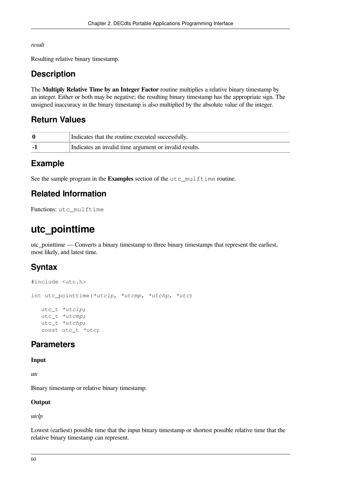*result*

Resulting relative binary timestamp.

### **Description**

The **Multiply Relative Time by an Integer Factor** routine multiplies a relative binary timestamp by an integer. Either or both may be negative; the resulting binary timestamp has the appropriate sign. The unsigned inaccuracy in the binary timestamp is also multiplied by the absolute value of the integer.

## **Return Values**

| Indicates that the routine executed successfully.      |
|--------------------------------------------------------|
| Indicates an invalid time argument or invalid results. |

## **Example**

See the sample program in the **Examples** section of the utc\_mulftime routine.

# **Related Information**

Functions: utc\_mulftime

# **utc\_pointtime**

utc\_pointtime — Converts a binary timestamp to three binary timestamps that represent the earliest, most likely, and latest time.

# **Syntax**

```
#include <utc.h>
int utc_pointtime(*utclp, *utcmp, *utchp, *utc)
    utc_t *utclp;
```
 utc\_t *\*utcmp*; utc\_t *\*utchp*; const utc\_t *\*utc*;

# **Parameters**

#### **Input**

*utc*

Binary timestamp or relative binary timestamp.

#### **Output**

*utclp*

Lowest (earliest) possible time that the input binary timestamp or shortest possible relative time that the relative binary timestamp can represent.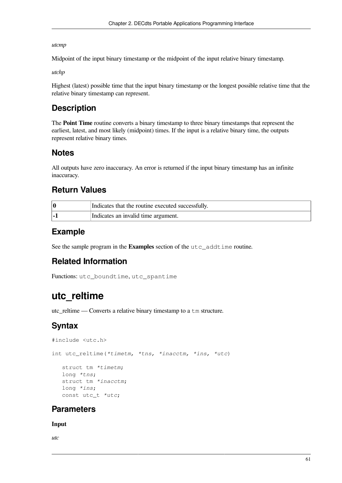#### *utcmp*

Midpoint of the input binary timestamp or the midpoint of the input relative binary timestamp.

*utchp*

Highest (latest) possible time that the input binary timestamp or the longest possible relative time that the relative binary timestamp can represent.

# **Description**

The **Point Time** routine converts a binary timestamp to three binary timestamps that represent the earliest, latest, and most likely (midpoint) times. If the input is a relative binary time, the outputs represent relative binary times.

### **Notes**

All outputs have zero inaccuracy. An error is returned if the input binary timestamp has an infinite inaccuracy.

## **Return Values**

| Indicates that the routine executed successfully. |
|---------------------------------------------------|
| Indicates an invalid time argument.               |

### **Example**

See the sample program in the **Examples** section of the utc\_addtime routine.

# **Related Information**

```
Functions: utc_boundtime, utc_spantime
```
# **utc\_reltime**

utc\_reltime — Converts a relative binary timestamp to a  $t$ m structure.

### **Syntax**

```
#include <utc.h>
int utc_reltime(*timetm, *tns, *inacctm, *ins, *utc)
    struct tm *timetm;
    long *tns;
    struct tm *inacctm;
    long *ins;
    const utc_t *utc;
```
#### **Parameters**

#### **Input**

*utc*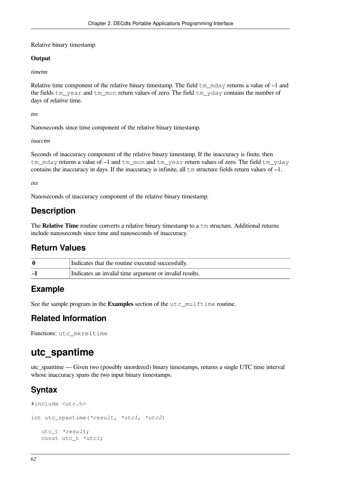Relative binary timestamp.

#### **Output**

*timetm*

Relative time component of the relative binary timestamp. The field  $\text{tm}$  mday returns a value of  $-1$  and the fields tm year and tm mon return values of zero. The field tm yday contains the number of days of relative time.

*tns*

Nanoseconds since time component of the relative binary timestamp.

*inacctm*

Seconds of inaccuracy component of the relative binary timestamp. If the inaccuracy is finite, then tm\_mday returns a value of –1 and tm\_mon and tm\_year return values of zero. The field tm\_yday contains the inaccuracy in days. If the inaccuracy is infinite, all  $\pm$ m structure fields return values of -1.

*ins*

Nanoseconds of inaccuracy component of the relative binary timestamp.

## **Description**

The **Relative Time** routine converts a relative binary timestamp to a tm structure. Additional returns include nanoseconds since time and nanoseconds of inaccuracy.

### **Return Values**

| Indicates that the routine executed successfully.      |
|--------------------------------------------------------|
| Indicates an invalid time argument or invalid results. |

### **Example**

See the sample program in the **Examples** section of the utc\_mulftime routine.

### **Related Information**

Functions: utc\_mkreltime

# **utc\_spantime**

utc\_spantime — Given two (possibly unordered) binary timestamps, returns a single UTC time interval whose inaccuracy spans the two input binary timestamps.

# **Syntax**

```
#include <utc.h>
int utc_spantime(*result, *utc1, *utc2)
    utc_t *result;
    const utc_t *utc1;
```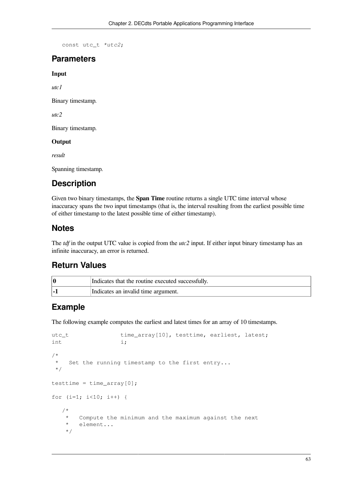const utc\_t *\*utc2*;

#### **Parameters**

**Input**

*utc1*

Binary timestamp.

*utc2*

Binary timestamp.

#### **Output**

*result*

Spanning timestamp.

### **Description**

Given two binary timestamps, the **Span Time** routine returns a single UTC time interval whose inaccuracy spans the two input timestamps (that is, the interval resulting from the earliest possible time of either timestamp to the latest possible time of either timestamp).

#### **Notes**

The *tdf* in the output UTC value is copied from the *utc2* input. If either input binary timestamp has an infinite inaccuracy, an error is returned.

#### **Return Values**

| 10 | Indicates that the routine executed successfully. |
|----|---------------------------------------------------|
|    | Indicates an invalid time argument.               |

### **Example**

The following example computes the earliest and latest times for an array of 10 timestamps.

```
utc_t time_array[10], testtime, earliest, latest;
int i;
/*
  * Set the running timestamp to the first entry...
  */
testtime = time\_array[0];
for (i=1; i<10; i++) {
    /*
    * Compute the minimum and the maximum against the next
    * element...
    */
```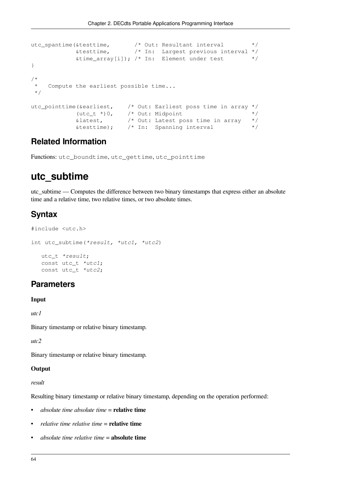```
utc_spantime(&testtime, \frac{1}{2} /* Out: Resultant interval \frac{1}{2} /
             &testtime, /* In: Largest previous interval */
             &time_array[i]); /* In: Element under test */
}
/*
    Compute the earliest possible time...
  */
utc_pointtime(&earliest, /* Out: Earliest poss time in array */
            (\text{utc}_t * ) 0, /* Out: Midpoint */
             &latest, /* Out: Latest poss time in array */
             &testtime); /* In: Spanning interval */
```
#### **Related Information**

Functions: utc\_boundtime, utc\_gettime, utc\_pointtime

# **utc\_subtime**

utc\_subtime — Computes the difference between two binary timestamps that express either an absolute time and a relative time, two relative times, or two absolute times.

#### **Syntax**

```
#include <utc.h>
int utc_subtime(*result, *utc1, *utc2)
    utc_t *result;
    const utc_t *utc1;
    const utc_t *utc2;
```
#### **Parameters**

#### **Input**

*utc1*

Binary timestamp or relative binary timestamp.

*utc2*

Binary timestamp or relative binary timestamp.

#### **Output**

*result*

Resulting binary timestamp or relative binary timestamp, depending on the operation performed:

- *absolute time absolute time* = **relative time**
- *relative time relative time* = **relative time**
- *absolute time relative time* = **absolute time**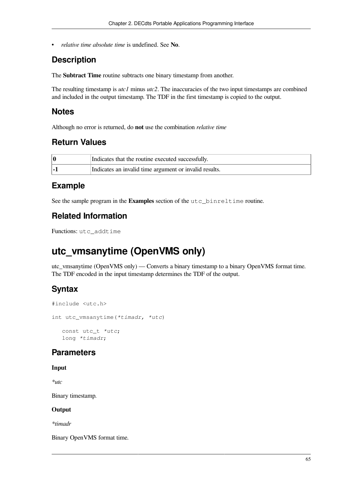• *relative time absolute time* is undefined. See **No**.

# **Description**

The **Subtract Time** routine subtracts one binary timestamp from another.

The resulting timestamp is *utc1* minus *utc2*. The inaccuracies of the two input timestamps are combined and included in the output timestamp. The TDF in the first timestamp is copied to the output.

## **Notes**

Although no error is returned, do **not** use the combination *relative time*

# **Return Values**

| Indicates that the routine executed successfully.      |
|--------------------------------------------------------|
| Indicates an invalid time argument or invalid results. |

# **Example**

See the sample program in the **Examples** section of the utc\_binreltime routine.

# **Related Information**

Functions: utc\_addtime

# **utc\_vmsanytime (OpenVMS only)**

utc\_vmsanytime (OpenVMS only) — Converts a binary timestamp to a binary OpenVMS format time. The TDF encoded in the input timestamp determines the TDF of the output.

# **Syntax**

```
#include <utc.h>
int utc_vmsanytime(*timadr, *utc)
    const utc_t *utc;
    long *timadr;
```
### **Parameters**

#### **Input**

*\*utc*

Binary timestamp.

#### **Output**

*\*timadr*

Binary OpenVMS format time.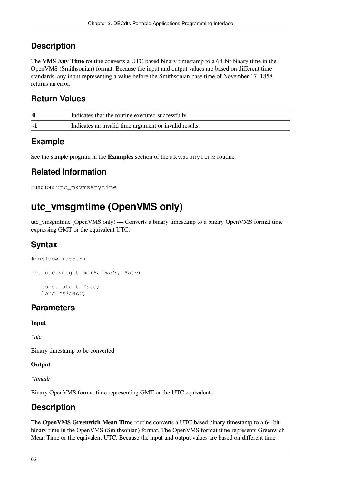# **Description**

The **VMS Any Time** routine converts a UTC-based binary timestamp to a 64-bit binary time in the OpenVMS (Smithsonian) format. Because the input and output values are based on different time standards, any input representing a value before the Smithsonian base time of November 17, 1858 returns an error.

## **Return Values**

| Indicates that the routine executed successfully.      |
|--------------------------------------------------------|
| Indicates an invalid time argument or invalid results. |

# **Example**

See the sample program in the **Examples** section of the mkvmsanytime routine.

# **Related Information**

```
Function: utc_mkvmsanytime
```
# **utc\_vmsgmtime (OpenVMS only)**

utc\_vmsgmtime (OpenVMS only) — Converts a binary timestamp to a binary OpenVMS format time expressing GMT or the equivalent UTC.

# **Syntax**

```
#include <utc.h>
int utc_vmsgmtime(*timadr, *utc)
    const utc_t *utc;
    long *timadr;
```
# **Parameters**

#### **Input**

*\*utc*

Binary timestamp to be converted.

#### **Output**

*\*timadr*

Binary OpenVMS format time representing GMT or the UTC equivalent.

# **Description**

The **OpenVMS Greenwich Mean Time** routine converts a UTC-based binary timestamp to a 64-bit binary time in the OpenVMS (Smithsonian) format. The OpenVMS format time represents Greenwich Mean Time or the equivalent UTC. Because the input and output values are based on different time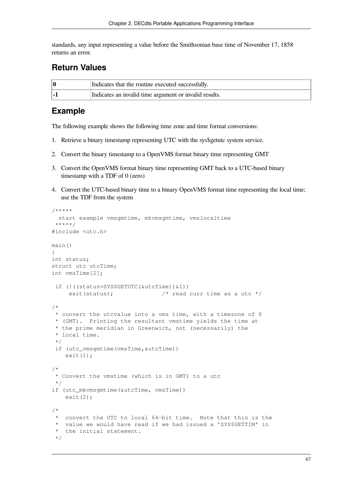standards, any input representing a value before the Smithsonian base time of November 17, 1858 returns an error.

### **Return Values**

| Indicates that the routine executed successfully.      |
|--------------------------------------------------------|
| Indicates an invalid time argument or invalid results. |

### **Example**

The following example shows the following time zone and time format conversions:

- 1. Retrieve a binary timestamp representing UTC with the sys\$getutc system service.
- 2. Convert the binary timestamp to a OpenVMS format binary time representing GMT
- 3. Convert the OpenVMS format binary time representing GMT back to a UTC-based binary timestamp with a TDF of 0 (zero)
- 4. Convert the UTC-based binary time to a binary OpenVMS format time representing the local time; use the TDF from the system

```
/*****
  start example vmsgmtime, mkvmsgmtime, vmslocaltime
  *****/
#include <utc.h>
main()
{
int status;
struct utc utcTime;
int vmsTime[2];
  if (!((status=SYS$GETUTC(&utcTime))&1))
     exit(status); \frac{1}{x} /* read curr time as a utc */
/*
  * convert the utcvalue into a vms time, with a timezone of 0
  * (GMT). Printing the resultant vmstime yields the time at
  * the prime meridian in Greenwich, not (necessarily) the
  * local time.
  */
  if (utc_vmsgmtime(vmsTime,&utcTime))
    ext(1);/*
  * Convert the vmstime (which is in GMT) to a utc
  */
if (utc_mkvmsgmtime(&utcTime, vmsTime))
    exit(2);
/*
   convert the UTC to local 64-bit time. Note that this is the
  * value we would have read if we had issued a 'SYS$GETTIM' in
   the initial statement.
  */
```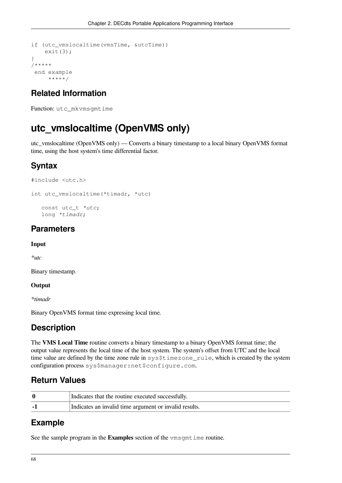```
if (utc_vmslocaltime(vmsTime, &utcTime))
     exit(3);
}
/*****
  end example
      *****/
```
## **Related Information**

Function: utc\_mkvmsgmtime

# **utc\_vmslocaltime (OpenVMS only)**

utc\_vmslocaltime (OpenVMS only) — Converts a binary timestamp to a local binary OpenVMS format time, using the host system's time differential factor.

### **Syntax**

#include <utc.h>

int utc\_vmslocaltime(\*timadr, \*utc)

```
 const utc_t *utc;
 long *timadr;
```
### **Parameters**

**Input**

*\*utc*

Binary timestamp.

#### **Output**

*\*timadr*

Binary OpenVMS format time expressing local time.

### **Description**

The **VMS Local Time** routine converts a binary timestamp to a binary OpenVMS format time; the output value represents the local time of the host system. The system's offset from UTC and the local time value are defined by the time zone rule in sys\$timezone\_rule, which is created by the system configuration process sys\$manager:net\$configure.com.

### **Return Values**

| Indicates that the routine executed successfully.      |  |
|--------------------------------------------------------|--|
| Indicates an invalid time argument or invalid results. |  |

### **Example**

See the sample program in the **Examples** section of the vmsgmtime routine.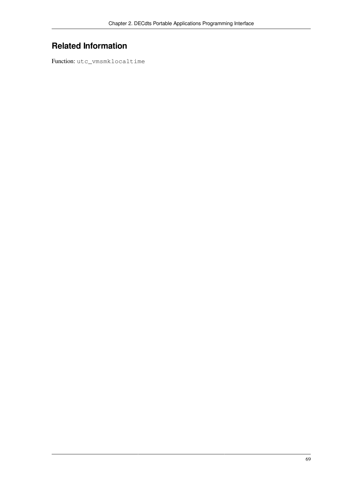## **Related Information**

Function: utc\_vmsmklocaltime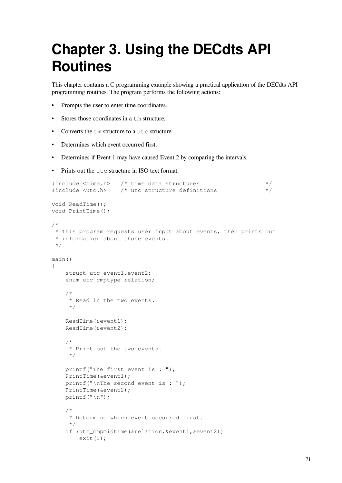# **Chapter 3. Using the DECdts API Routines**

This chapter contains a C programming example showing a practical application of the DECdts API programming routines. The program performs the following actions:

- Prompts the user to enter time coordinates.
- Stores those coordinates in a  $t$ m structure.
- Converts the  $t_m$  structure to a utc structure.
- Determines which event occurred first.
- Determines if Event 1 may have caused Event 2 by comparing the intervals.
- Prints out the utc structure in ISO text format.

```
#include <time.h> /* time data structures */
#include <utc.h> /* utc structure definitions */
void ReadTime();
void PrintTime();
/*
 * This program requests user input about events, then prints out
  * information about those events.
  */
main()
{
    struct utc event1, event2;
    enum utc cmptype relation;
     /*
      * Read in the two events.
      */
     ReadTime(&event1);
     ReadTime(&event2);
     /*
      * Print out the two events.
    ^{\star}/ printf("The first event is : ");
     PrintTime(&event1);
    printf("\nThe second event is : ");
     PrintTime(&event2);
    printf("n");
     /*
      * Determine which event occurred first.
      */
    if (utc cmpmidtime(&relation, &event1, &event2))
        exit(1);
```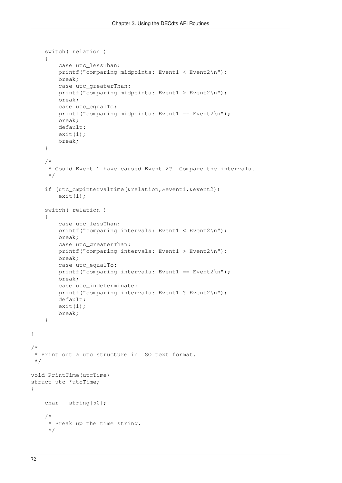```
 switch( relation )
     {
         case utc_lessThan:
        printf("comparing midpoints: Event1 < Event2\n");
         break;
         case utc_greaterThan:
        printf("comparing midpoints: Event1 > Event2\n");
         break;
         case utc_equalTo:
        printf("comparing midpoints: Event1 == Event2\n");
         break;
         default:
        exit(1);
         break;
     }
     /*
      * Could Event 1 have caused Event 2? Compare the intervals.
      */
     if (utc_cmpintervaltime(&relation,&event1,&event2))
        exit(1);
     switch( relation )
     {
         case utc_lessThan:
        printf("comparing intervals: Event1 < Event2\n");
         break;
         case utc_greaterThan:
        printf("comparing intervals: Event1 > Event2\n");
         break;
         case utc_equalTo:
        printf("comparing intervals: Event1 == Event2\n");
         break;
         case utc_indeterminate:
        printf("comparing intervals: Event1 ? Event2\n");
         default:
        ext(1); break;
     }
/*
  * Print out a utc structure in ISO text format.
 */
void PrintTime(utcTime)
struct utc *utcTime:
     char string[50];
     /*
      * Break up the time string.
      */
```
}

{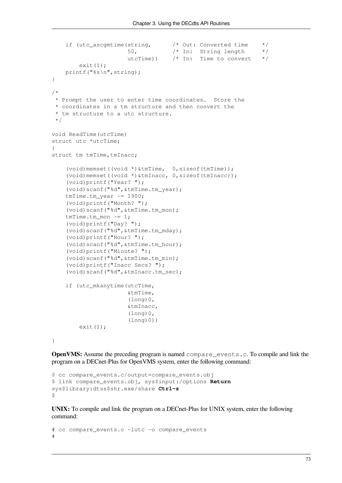```
 if (utc_ascgmtime(string, /* Out: Converted time */
                        50, /* In: String length */
                       utcTime)) \frac{1}{x} In: Time to convert \frac{x}{x}exit(1);
     printf("%s\n",string);
}
/*
  * Prompt the user to enter time coordinates. Store the
  * coordinates in a tm structure and then convert the
  * tm structure to a utc structure.
  */
void ReadTime(utcTime)
struct utc *utcTime;
{
struct tm tmTime, tmInacc;
     (void)memset((void *)&tmTime, 0,sizeof(tmTime));
     (void)memset((void *)&tmInacc, 0,sizeof(tmInacc));
     (void)printf("Year? ");
     (void)scanf("%d",&tmTime.tm_year);
    tmTime.tm_year = 1900;
     (void)printf("Month? ");
     (void)scanf("%d",&tmTime.tm_mon);
    tmTime.tm_mon -= 1;
     (void)printf("Day? ");
     (void)scanf("%d",&tmTime.tm_mday);
     (void)printf("Hour? ");
     (void)scanf("%d",&tmTime.tm_hour);
     (void)printf("Minute? ");
     (void)scanf("%d",&tmTime.tm_min);
     (void)printf("Inacc Secs? ");
     (void)scanf("%d",&tmInacc.tm_sec);
     if (utc_mkanytime(utcTime,
                        &tmTime,
                       (long)0,
                        &tmInacc,
                       (long)0,
                       (long)0))
        ext(1);}
```
**OpenVMS:** Assume the preceding program is named compare\_events.c. To compile and link the program on a DECnet-Plus for OpenVMS system, enter the following command:

```
$ cc compare events.c/output=compare events.obj
$ link compare_events.obj, sys$input:/options Return
sys$library:dtss$shr.exe/share Ctrl-z
$
```
**UNIX:** To compile and link the program on a DECnet-Plus for UNIX system, enter the following command:

```
# cc compare_events.c -lutc -o compare_events
#
```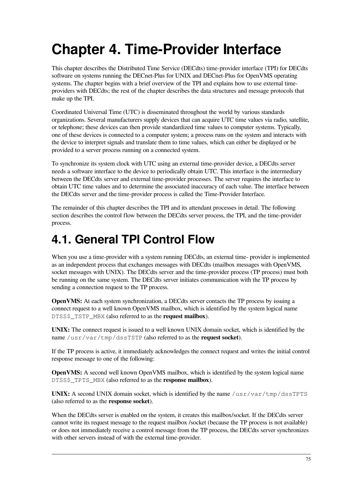# **Chapter 4. Time-Provider Interface**

This chapter describes the Distributed Time Service (DECdts) time-provider interface (TPI) for DECdts software on systems running the DECnet-Plus for UNIX and DECnet-Plus for OpenVMS operating systems. The chapter begins with a brief overview of the TPI and explains how to use external timeproviders with DECdts; the rest of the chapter describes the data structures and message protocols that make up the TPI.

Coordinated Universal Time (UTC) is disseminated throughout the world by various standards organizations. Several manufacturers supply devices that can acquire UTC time values via radio, satellite, or telephone; these devices can then provide standardized time values to computer systems. Typically, one of these devices is connected to a computer system; a process runs on the system and interacts with the device to interpret signals and translate them to time values, which can either be displayed or be provided to a server process running on a connected system.

To synchronize its system clock with UTC using an external time-provider device, a DECdts server needs a software interface to the device to periodically obtain UTC. This interface is the intermediary between the DECdts server and external time-provider processes. The server requires the interface to obtain UTC time values and to determine the associated inaccuracy of each value. The interface between the DECdts server and the time-provider process is called the Time-Provider Interface.

The remainder of this chapter describes the TPI and its attendant processes in detail. The following section describes the control flow between the DECdts server process, the TPI, and the time-provider process.

# **4.1. General TPI Control Flow**

When you use a time-provider with a system running DECdts, an external time- provider is implemented as an independent process that exchanges messages with DECdts (mailbox messages with OpenVMS, socket messages with UNIX). The DECdts server and the time-provider process (TP process) must both be running on the same system. The DECdts server initiates communication with the TP process by sending a connection request to the TP process.

**OpenVMS:** At each system synchronization, a DECdts server contacts the TP process by issuing a connect request to a well known OpenVMS mailbox, which is identified by the system logical name DTSS\$\_TSTP\_MBX (also referred to as the **request mailbox**).

**UNIX:** The connect request is issued to a well known UNIX domain socket, which is identified by the name /usr/var/tmp/dssTSTP (also referred to as the **request socket**).

If the TP process is active, it immediately acknowledges the connect request and writes the initial control response message to one of the following:

**OpenVMS:** A second well known OpenVMS mailbox, which is identified by the system logical name DTSS\$\_TPTS\_MBX (also referred to as the **response mailbox**).

**UNIX:** A second UNIX domain socket, which is identified by the name /usr/var/tmp/dssTPTS (also referred to as the **response socket**).

When the DECdts server is enabled on the system, it creates this mailbox/socket. If the DECdts server cannot write its request message to the request mailbox /socket (because the TP process is not available) or does not immediately receive a control message from the TP process, the DECdts server synchronizes with other servers instead of with the external time-provider.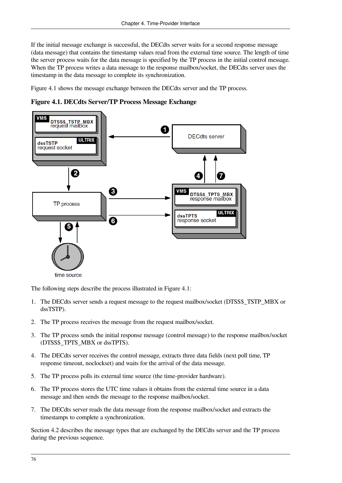If the initial message exchange is successful, the DECdts server waits for a second response message (data message) that contains the timestamp values read from the external time source. The length of time the server process waits for the data message is specified by the TP process in the initial control message. When the TP process writes a data message to the response mailbox/socket, the DECdts server uses the timestamp in the data message to complete its synchronization.

<span id="page-81-0"></span>[Figure](#page-81-0) 4.1 shows the message exchange between the DECdts server and the TP process.





The following steps describe the process illustrated in [Figure](#page-81-0) 4.1:

- 1. The DECdts server sends a request message to the request mailbox/socket (DTSS\$\_TSTP\_MBX or dssTSTP).
- 2. The TP process receives the message from the request mailbox/socket.
- 3. The TP process sends the initial response message (control message) to the response mailbox/socket (DTSS\$\_TPTS\_MBX or dssTPTS).
- 4. The DECdts server receives the control message, extracts three data fields (next poll time, TP response timeout, noclockset) and waits for the arrival of the data message.
- 5. The TP process polls its external time source (the time-provider hardware).
- 6. The TP process stores the UTC time values it obtains from the external time source in a data message and then sends the message to the response mailbox/socket.
- 7. The DECdts server reads the data message from the response mailbox/socket and extracts the timestamps to complete a synchronization.

[Section](#page-82-0) 4.2 describes the message types that are exchanged by the DECdts server and the TP process during the previous sequence.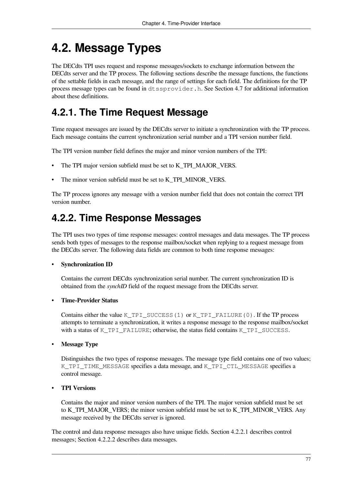# <span id="page-82-0"></span>**4.2. Message Types**

The DECdts TPI uses request and response messages/sockets to exchange information between the DECdts server and the TP process. The following sections describe the message functions, the functions of the settable fields in each message, and the range of settings for each field. The definitions for the TP process message types can be found in dtssprovider.h. See [Section](#page-87-0) 4.7 for additional information about these definitions.

# **4.2.1. The Time Request Message**

Time request messages are issued by the DECdts server to initiate a synchronization with the TP process. Each message contains the current synchronization serial number and a TPI version number field.

The TPI version number field defines the major and minor version numbers of the TPI:

- The TPI major version subfield must be set to K\_TPI\_MAJOR\_VERS.
- The minor version subfield must be set to K\_TPI\_MINOR\_VERS.

The TP process ignores any message with a version number field that does not contain the correct TPI version number.

## **4.2.2. Time Response Messages**

The TPI uses two types of time response messages: control messages and data messages. The TP process sends both types of messages to the response mailbox/socket when replying to a request message from the DECdts server. The following data fields are common to both time response messages:

#### • **Synchronization ID**

Contains the current DECdts synchronization serial number. The current synchronization ID is obtained from the *synchID* field of the request message from the DECdts server.

#### • **Time-Provider Status**

Contains either the value K\_TPI\_SUCCESS(1) or K\_TPI\_FAILURE(0). If the TP process attempts to terminate a synchronization, it writes a response message to the response mailbox/socket with a status of K\_TPI\_FAILURE; otherwise, the status field contains K\_TPI\_SUCCESS.

#### • **Message Type**

Distinguishes the two types of response messages. The message type field contains one of two values; K\_TPI\_TIME\_MESSAGE specifies a data message, and K\_TPI\_CTL\_MESSAGE specifies a control message.

#### • **TPI Versions**

Contains the major and minor version numbers of the TPI. The major version subfield must be set to K\_TPI\_MAJOR\_VERS; the minor version subfield must be set to K\_TPI\_MINOR\_VERS. Any message received by the DECdts server is ignored.

The control and data response messages also have unique fields. [Section](#page-83-0) 4.2.2.1 describes control messages; [Section](#page-83-1) 4.2.2.2 describes data messages.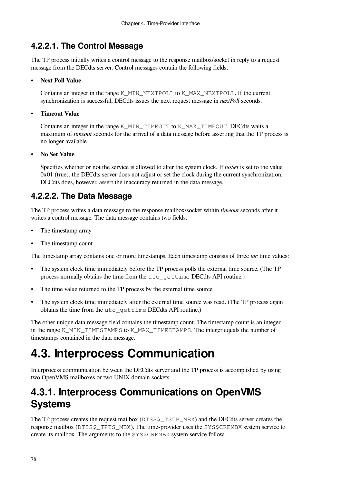### <span id="page-83-0"></span>**4.2.2.1. The Control Message**

The TP process initially writes a control message to the response mailbox/socket in reply to a request message from the DECdts server. Control messages contain the following fields:

• **Next Poll Value**

Contains an integer in the range K\_MIN\_NEXTPOLL to K\_MAX\_NEXTPOLL. If the current synchronization is successful, DECdts issues the next request message in *nextPoll* seconds.

• **Timeout Value**

Contains an integer in the range K\_MIN\_TIMEOUT to K\_MAX\_TIMEOUT. DECdts waits a maximum of *timeout* seconds for the arrival of a data message before asserting that the TP process is no longer available.

• **No Set Value**

Specifies whether or not the service is allowed to alter the system clock. If *noSet* is set to the value 0x01 (true), the DECdts server does not adjust or set the clock during the current synchronization. DECdts does, however, assert the inaccuracy returned in the data message.

### <span id="page-83-1"></span>**4.2.2.2. The Data Message**

The TP process writes a data message to the response mailbox/socket within *timeout* seconds after it writes a control message. The data message contains two fields:

- The timestamp array
- The timestamp count

The timestamp array contains one or more timestamps. Each timestamp consists of three *utc* time values:

- The system clock time immediately before the TP process polls the external time source. (The TP process normally obtains the time from the utc\_gettime DECdts API routine.)
- The time value returned to the TP process by the external time source.
- The system clock time immediately after the external time source was read. (The TP process again obtains the time from the utc\_gettime DECdts API routine.)

The other unique data message field contains the timestamp count. The timestamp count is an integer in the range K\_MIN\_TIMESTAMPS to K\_MAX\_TIMESTAMPS. The integer equals the number of timestamps contained in the data message.

# **4.3. Interprocess Communication**

Interprocess communication between the DECdts server and the TP process is accomplished by using two OpenVMS mailboxes or two UNIX domain sockets.

# **4.3.1. Interprocess Communications on OpenVMS Systems**

The TP process creates the request mailbox (DTSS\$\_TSTP\_MBX) and the DECdts server creates the response mailbox (DTSS\$ TPTS MBX). The time-provider uses the SYS\$CREMBX system service to create its mailbox. The arguments to the SYS\$CREMBX system service follow: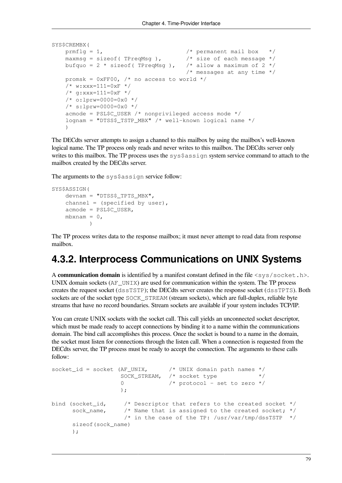```
SYS$CREMBX(
    prmflg = 1, /* permanent mail box */
   maxmsq = sizeof( TPreqMsq ), \frac{1}{2} /* size of each message */
   bufquo = 2 * sizeof(TPreqMsq), /* allow a maximum of 2 */
                                      /* messages at any time */
   promsk = 0xFF00, /* no access to world *//* w: xxx=111=0xF *//* q:xxxx=111=0xF * / /* o:lprw=0000=0x0 */
    /* s:lprw=0000=0x0 */
   acmode = PSL$C_USER /* nonprivileged access mode */
    lognam = "DTSS$_TSTP_MBX" /* well-known logical name */
    )
```
The DECdts server attempts to assign a channel to this mailbox by using the mailbox's well-known logical name. The TP process only reads and never writes to this mailbox. The DECdts server only writes to this mailbox. The TP process uses the sys\$assign system service command to attach to the mailbox created by the DECdts server.

The arguments to the sys\$assign service follow:

```
SYS$ASSIGN(
    devnam = "DTSS$_TPTS_MBX",
   channel = (specified by user),
    acmode = PSL$C_USER,
   mbxnam = 0,)
```
The TP process writes data to the response mailbox; it must never attempt to read data from response mailbox.

## **4.3.2. Interprocess Communications on UNIX Systems**

A **communication domain** is identified by a manifest constant defined in the file <sys/socket.h>. UNIX domain sockets (AF\_UNIX) are used for communication within the system. The TP process creates the request socket (dssTSTP); the DECdts server creates the response socket (dssTPTS). Both sockets are of the socket type SOCK\_STREAM (stream sockets), which are full-duplex, reliable byte streams that have no record boundaries. Stream sockets are available if your system includes TCP/IP.

You can create UNIX sockets with the socket call. This call yields an unconnected socket descriptor, which must be made ready to accept connections by binding it to a name within the communications domain. The bind call accomplishes this process. Once the socket is bound to a name in the domain, the socket must listen for connections through the listen call. When a connection is requested from the DECdts server, the TP process must be ready to accept the connection. The arguments to these calls follow:

```
socket_id = socket (AF_UNIX, \frac{1}{2} /* UNIX domain path names */
                   SOCK_STREAM, /* socket type */
                   0 /* protocol - set to zero */ );
bind (socket_id, /* Descriptor that refers to the created socket */
     sock_name, \frac{1}{x} Name that is assigned to the created socket; \frac{x}{x}/* in the case of the TP: /usr/var/tmp/dssTSTP */ sizeof(sock_name)
      );
```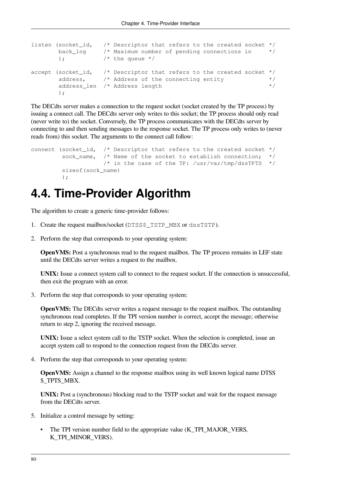|                             | listen (socket id, $\gamma$ * Descriptor that refers to the created socket */                                                                                             |                        |
|-----------------------------|---------------------------------------------------------------------------------------------------------------------------------------------------------------------------|------------------------|
| back log                    | /* Maximum number of pending connections in                                                                                                                               | $\star$ /              |
| $\rightarrow$ $\rightarrow$ | $\frac{1}{x}$ the queue $\frac{x}{x}$                                                                                                                                     |                        |
|                             | accept (socket id, $\gamma$ * Descriptor that refers to the created socket */<br>address, $\frac{1}{2}$ Address of the connecting entity<br>address len /* Address length | $\star$ /<br>$\star$ / |
|                             |                                                                                                                                                                           |                        |

The DECdts server makes a connection to the request socket (socket created by the TP process) by issuing a connect call. The DECdts server only writes to this socket; the TP process should only read (never write to) the socket. Conversely, the TP process communicates with the DECdts server by connecting to and then sending messages to the response socket. The TP process only writes to (never reads from) this socket. The arguments to the connect call follow:

```
connect (socket id, /* Descriptor that refers to the created socket */sock_name, /* Name of the socket to establish connection; */ /* in the case of the TP: /usr/var/tmp/dssTPTS */
         sizeof(sock_name)
         );
```
# **4.4. Time-Provider Algorithm**

The algorithm to create a generic time-provider follows:

- 1. Create the request mailbox/socket (DTSS\$ TSTP\_MBX or dssTSTP).
- 2. Perform the step that corresponds to your operating system:

**OpenVMS:** Post a synchronous read to the request mailbox. The TP process remains in LEF state until the DECdts server writes a request to the mailbox.

**UNIX:** Issue a connect system call to connect to the request socket. If the connection is unsuccessful, then exit the program with an error.

3. Perform the step that corresponds to your operating system:

**OpenVMS:** The DECdts server writes a request message to the request mailbox. The outstanding synchronous read completes. If the TPI version number is correct, accept the message; otherwise return to step 2, ignoring the received message.

**UNIX:** Issue a select system call to the TSTP socket. When the selection is completed, issue an accept system call to respond to the connection request from the DECdts server.

4. Perform the step that corresponds to your operating system:

**OpenVMS:** Assign a channel to the response mailbox using its well known logical name DTSS \$\_TPTS\_MBX.

**UNIX:** Post a (synchronous) blocking read to the TSTP socket and wait for the request message from the DECdts server.

- 5. Initialize a control message by setting:
	- The TPI version number field to the appropriate value (K\_TPI\_MAJOR\_VERS, K\_TPI\_MINOR\_VERS).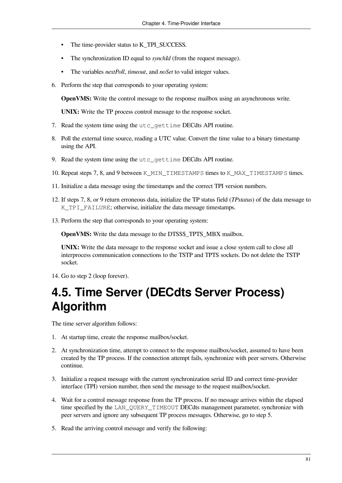- The time-provider status to K\_TPI\_SUCCESS.
- The synchronization ID equal to *synchId* (from the request message).
- The variables *nextPoll*, *timeout*, and *noSet* to valid integer values.
- 6. Perform the step that corresponds to your operating system:

**OpenVMS:** Write the control message to the response mailbox using an asynchronous write.

**UNIX:** Write the TP process control message to the response socket.

- 7. Read the system time using the utc\_gettime DECdts API routine.
- 8. Poll the external time source, reading a UTC value. Convert the time value to a binary timestamp using the API.
- 9. Read the system time using the utc\_gettime DECdts API routine.
- 10. Repeat steps 7, 8, and 9 between K\_MIN\_TIMESTAMPS times to K\_MAX\_TIMESTAMPS times.
- 11. Initialize a data message using the timestamps and the correct TPI version numbers.
- 12. If steps 7, 8, or 9 return erroneous data, initialize the TP status field (*TPstatus*) of the data message to K\_TPI\_FAILURE; otherwise, initialize the data message timestamps.
- 13. Perform the step that corresponds to your operating system:

**OpenVMS:** Write the data message to the DTSS\$\_TPTS\_MBX mailbox.

**UNIX:** Write the data message to the response socket and issue a close system call to close all interprocess communication connections to the TSTP and TPTS sockets. Do not delete the TSTP socket.

14. Go to step 2 (loop forever).

# **4.5. Time Server (DECdts Server Process) Algorithm**

The time server algorithm follows:

- 1. At startup time, create the response mailbox/socket.
- 2. At synchronization time, attempt to connect to the response mailbox/socket, assumed to have been created by the TP process. If the connection attempt fails, synchronize with peer servers. Otherwise continue.
- 3. Initialize a request message with the current synchronization serial ID and correct time-provider interface (TPI) version number, then send the message to the request mailbox/socket.
- 4. Wait for a control message response from the TP process. If no message arrives within the elapsed time specified by the LAN\_QUERY\_TIMEOUT DECdts management parameter, synchronize with peer servers and ignore any subsequent TP process messages. Otherwise, go to step 5.
- 5. Read the arriving control message and verify the following: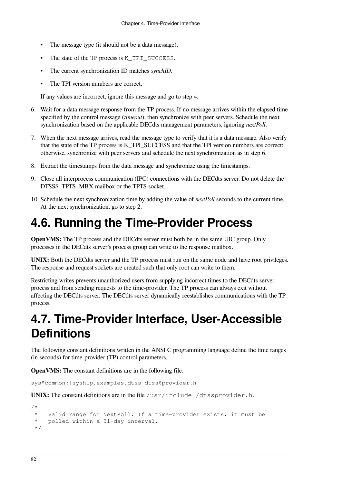- The message type (it should not be a data message).
- The state of the TP process is K\_TPI\_SUCCESS.
- The current synchronization ID matches *synchID*.
- The TPI version numbers are correct.

If any values are incorrect, ignore this message and go to step 4.

- 6. Wait for a data message response from the TP process. If no message arrives within the elapsed time specified by the control message (*timeout*), then synchronize with peer servers. Schedule the next synchronization based on the applicable DECdts management parameters, ignoring *nextPoll*.
- 7. When the next message arrives, read the message type to verify that it is a data message. Also verify that the state of the TP process is K\_TPI\_SUCCESS and that the TPI version numbers are correct; otherwise, synchronize with peer servers and schedule the next synchronization as in step 6.
- 8. Extract the timestamps from the data message and synchronize using the timestamps.
- 9. Close all interprocess communication (IPC) connections with the DECdts server. Do not delete the DTSS\$\_TPTS\_MBX mailbox or the TPTS socket.
- 10. Schedule the next synchronization time by adding the value of *nextPoll* seconds to the current time. At the next synchronization, go to step 2.

# **4.6. Running the Time-Provider Process**

**OpenVMS:** The TP process and the DECdts server must both be in the same UIC group. Only processes in the DECdts server's process group can write to the response mailbox.

UNIX: Both the DECdts server and the TP process must run on the same node and have root privileges. The response and request sockets are created such that only root can write to them.

Restricting writes prevents unauthorized users from supplying incorrect times to the DECdts server process and from sending requests to the time-provider. The TP process can always exit without affecting the DECdts server. The DECdts server dynamically reestablishes communications with the TP process.

# <span id="page-87-0"></span>**4.7. Time-Provider Interface, User-Accessible Definitions**

The following constant definitions written in the ANSI C programming language define the time ranges (in seconds) for time-provider (TP) control parameters.

**OpenVMS:** The constant definitions are in the following file:

sys\$common:[syshlp.examples.dtss]dtss\$provider.h

**UNIX:** The constant definitions are in the file /usr/include /dtssprovider.h.

```
/*
    Valid range for NextPoll. If a time-provider exists, it must be
    polled within a 31-day interval.
 */
```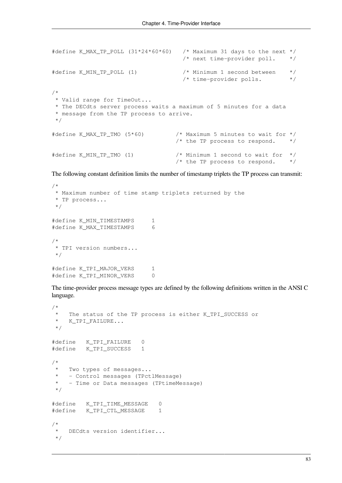```
#define K_MAX_TP_POLL (31*24*60*60) /* Maximum 31 days to the next */
                                    /* next time-provider poll. */
#define K_MIN_TP_POLL (1) /* Minimum 1 second between */
                                    /* time-provider polls. */
/*
 * Valid range for TimeOut...
 * The DECdts server process waits a maximum of 5 minutes for a data
 * message from the TP process to arrive.
 */
#define K_MAX_TP_TMO (5*60) /* Maximum 5 minutes to wait for */
                                 /* the TP process to respond. */#define K_MIN_TP_TMO (1) \qquad /* Minimum 1 second to wait for */
                                 /* the TP process to respond. */
```
The following constant definition limits the number of timestamp triplets the TP process can transmit:

```
/*
 * Maximum number of time stamp triplets returned by the
 * TP process...
 */
#define K_MIN_TIMESTAMPS 1
#define K_MAX_TIMESTAMPS 6
/*
 * TPI version numbers...
 */
#define K_TPI_MAJOR_VERS 1
#define K_TPI_MINOR_VERS 0
```
The time-provider process message types are defined by the following definitions written in the ANSI C language.

```
/*
 * The status of the TP process is either K_TPI_SUCCESS or
 * K_TPI_FAILURE...
 */
#define K_TPI_FAILURE 0
#define K_TPI_SUCCESS 1
/*
 * Two types of messages...
 * - Control messages (TPctlMessage)
 * - Time or Data messages (TPtimeMessage)
 */
#define K_TPI_TIME_MESSAGE 0
#define K_TPI_CTL_MESSAGE 1
/*
 * DECdts version identifier...
 */
```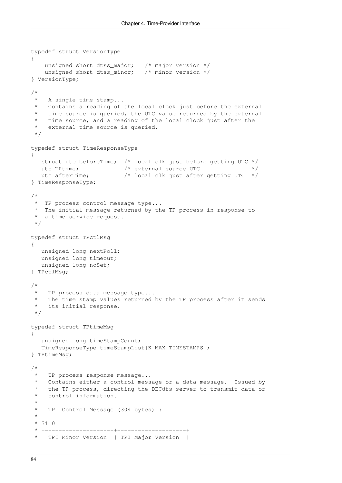```
typedef struct VersionType
{
    unsigned short dtss_major; /* major version */
    unsigned short dtss_minor; /* minor version */
} VersionType;
/*
    A single time stamp...
    Contains a reading of the local clock just before the external
  * time source is queried, the UTC value returned by the external
  * time source, and a reading of the local clock just after the
  * external time source is queried.
  */
typedef struct TimeResponseType
{
   struct utc beforeTime; /* local clk just before getting UTC */
  utc TPtime; \frac{1}{2} /* external source UTC \frac{1}{2} */
   utc afterTime; /* local clk just after getting UTC */
} TimeResponseType;
/*
  * TP process control message type...
  * The initial message returned by the TP process in response to
  * a time service request.
  */
typedef struct TPctlMsg
{
   unsigned long nextPoll;
   unsigned long timeout;
   unsigned long noSet;
} TPctlMsg;
/*
   TP process data message type...
   The time stamp values returned by the TP process after it sends
    its initial response.
  */
typedef struct TPtimeMsg
{
   unsigned long timeStampCount;
  TimeResponseType timeStampList[K_MAX_TIMESTAMPS];
} TPtimeMsg;
/*
  * TP process response message...
  * Contains either a control message or a data message. Issued by
    the TP process, directing the DECdts server to transmit data or
  * control information.
 *
  * TPI Control Message (304 bytes) :
 *
  * 31 0
  * +--------------------+--------------------+
  * | TPI Minor Version | TPI Major Version |
```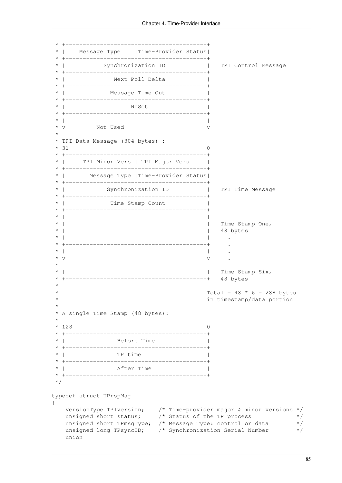\* +-----------------------------------------+ \* | Message Type |Time-Provider Status| \* +-----------------------------------------+ \* | Synchronization ID | TPI Control Message \* +-----------------------------------------+ \* | Next Poll Delta | \* +-----------------------------------------+ \* | Message Time Out | \* +-----------------------------------------+  $N$ oSet | \* +-----------------------------------------+  $\star$  |  $\qquad \qquad$  \* v Not Used v \* \* TPI Data Message (304 bytes) :  $\star$  31 0 \* +--------------------+--------------------+ \* | TPI Minor Vers | TPI Major Vers | \* +-----------------------------------------+ \* | Message Type |Time-Provider Status| \* +-----------------------------------------+ \* | Synchronization ID | TPI Time Message \* +-----------------------------------------+ | Time Stamp Count | \* +-----------------------------------------+  $\star$  |  $\qquad \qquad$  \* | | Time Stamp One, \* | | 48 bytes  $\star$  |  $\qquad \qquad$  \* +-----------------------------------------+ .  $\star$  |  $\qquad \qquad$  $\begin{array}{cccc}\n\star & \mathbf{v} & & \mathbf{v}\n\end{array}$  \* \* |  $\blacksquare$  | Time Stamp Six, \* +-----------------------------------------+ 48 bytes \* Total =  $48 * 6 = 288$  bytes in timestamp/data portion \* \* A single Time Stamp (48 bytes): \*  $\star$  128 0 \* +-----------------------------------------+  $Before Time$  | \* +-----------------------------------------+ TP time | \* +-----------------------------------------+ \* | After Time | \* +-----------------------------------------+ \*/ typedef struct TPrspMsg { VersionType TPIversion; /\* Time-provider major & minor versions \*/ unsigned short status;  $\rightarrow$  /\* Status of the TP process  $\rightarrow$  /\* unsigned short TPmsgType; /\* Message Type: control or data \*/ unsigned long TPsyncID; /\* Synchronization Serial Number \*/ union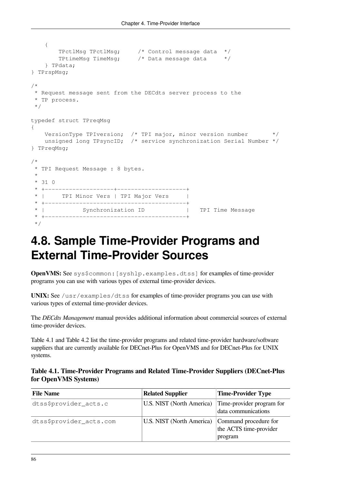```
 {
 TPctlMsg TPctlMsg; /* Control message data */
 TPtimeMsg TimeMsg; /* Data message data */
     } TPdata;
} TPrspMsg;
/*
  * Request message sent from the DECdts server process to the
  * TP process.
 */
typedef struct TPreqMsg
{
    VersionType TPIversion; /* TPI major, minor version number */
   unsigned long TPsyncID; /* service synchronization Serial Number */
} TPreqMsg;
/*
 * TPI Request Message : 8 bytes.
\ddot{\phantom{1}} * 31 0
  * +--------------------+--------------------+
  * | TPI Minor Vers | TPI Major Vers |
  * +-----------------------------------------+
  * | Synchronization ID | TPI Time Message
  * +-----------------------------------------+
  */
```
# **4.8. Sample Time-Provider Programs and External Time-Provider Sources**

**OpenVMS:** See sys\$common: [syshlp.examples.dtss] for examples of time-provider programs you can use with various types of external time-provider devices.

**UNIX:** See /usr/examples/dtss for examples of time-provider programs you can use with various types of external time-provider devices.

The *DECdts Management* manual provides additional information about commercial sources of external time-provider devices.

[Table](#page-91-0) 4.1 and [Table](#page-92-0) 4.2 list the time-provider programs and related time-provider hardware/software suppliers that are currently available for DECnet-Plus for OpenVMS and for DECnet-Plus for UNIX systems.

<span id="page-91-0"></span>

| Table 4.1. Time-Provider Programs and Related Time-Provider Suppliers (DECnet-Plus |  |  |
|------------------------------------------------------------------------------------|--|--|
| for OpenVMS Systems)                                                               |  |  |

| <b>File Name</b>        | <b>Related Supplier</b>   | Time-Provider Type                                         |
|-------------------------|---------------------------|------------------------------------------------------------|
| dtss\$provider_acts.c   | U.S. NIST (North America) | Time-provider program for<br>data communications           |
| dtss\$provider_acts.com | U.S. NIST (North America) | Command procedure for<br>the ACTS time-provider<br>program |